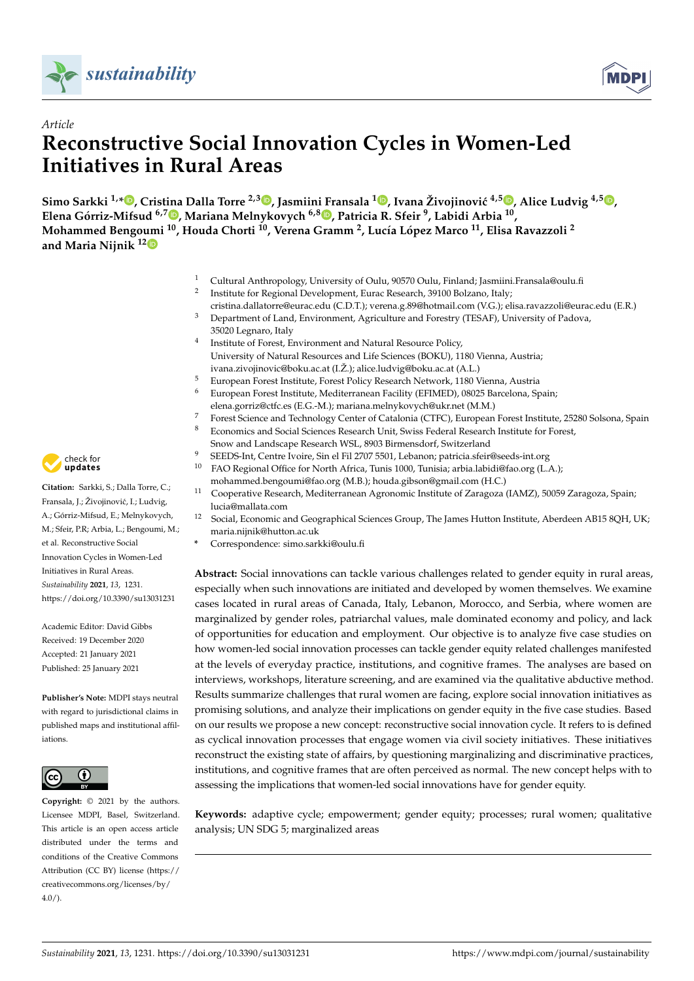



# *Article* **Reconstructive Social Innovation Cycles in Women-Led Initiatives in Rural Areas**

 $\bf S$ imo Sarkki <sup>1,</sup>[\\*](https://orcid.org/0000-0002-7790-0600)®[,](https://orcid.org/0000-0003-1323-2276) Cristina Dalla Torre <sup>2,3</sup>®, Jasmiini Fransala <sup>1</sup>®, Ivana Živojinović <sup>4,5</sup>®, Alice Ludvig <sup>4,5</sup>®, **Elena Górriz-Mifsud 6,[7](https://orcid.org/0000-0002-2112-5780) , Mariana Melnykovych 6,8 [,](https://orcid.org/0000-0003-0481-2842) Patricia R. Sfeir <sup>9</sup> , Labidi Arbia <sup>10</sup> , Mohammed Bengoumi <sup>10</sup>, Houda Chorti <sup>10</sup>, Verena Gramm <sup>2</sup> , Lucía López Marco <sup>11</sup>, Elisa Ravazzoli <sup>2</sup> and Maria Nijnik 1[2](https://orcid.org/0000-0003-0280-9543)**

- <sup>1</sup> Cultural Anthropology, University of Oulu, 90570 Oulu, Finland; Jasmiini.Fransala@oulu.fi
- 2 Institute for Regional Development, Eurac Research, 39100 Bolzano, Italy;
- cristina.dallatorre@eurac.edu (C.D.T.); verena.g.89@hotmail.com (V.G.); elisa.ravazzoli@eurac.edu (E.R.) <sup>3</sup> Department of Land, Environment, Agriculture and Forestry (TESAF), University of Padova, 35020 Legnaro, Italy
- 4 Institute of Forest, Environment and Natural Resource Policy, University of Natural Resources and Life Sciences (BOKU), 1180 Vienna, Austria;
- ivana.zivojinovic@boku.ac.at (I.Ž.); alice.ludvig@boku.ac.at (A.L.)
- <sup>5</sup> European Forest Institute, Forest Policy Research Network, 1180 Vienna, Austria <sup>6</sup> European Forest Institute, Mediterranean Facility (EFIMED), 08025 Barcelona, Spain; elena.gorriz@ctfc.es (E.G.-M.); mariana.melnykovych@ukr.net (M.M.)
- 
- 7 Forest Science and Technology Center of Catalonia (CTFC), European Forest Institute, 25280 Solsona, Spain <sup>8</sup> Economics and Social Sciences Research Unit, Swiss Federal Research Institute for Forest,
	- Snow and Landscape Research WSL, 8903 Birmensdorf, Switzerland
- 9 SEEDS-Int, Centre Ivoire, Sin el Fil 2707 5501, Lebanon; patricia.sfeir@seeds-int.org<br>10 EAO Begional Office for North Africa. Tunis 1000. Tunisia: arbia labidi@fae arg (L <sup>10</sup> FAO Regional Office for North Africa, Tunis 1000, Tunisia; arbia.labidi@fao.org (L.A.);
- mohammed.bengoumi@fao.org (M.B.); houda.gibson@gmail.com (H.C.) <sup>11</sup> Cooperative Research, Mediterranean Agronomic Institute of Zaragoza (IAMZ), 50059 Zaragoza, Spain;
- lucia@mallata.com
- <sup>12</sup> Social, Economic and Geographical Sciences Group, The James Hutton Institute, Aberdeen AB15 8QH, UK; maria.nijnik@hutton.ac.uk
- **\*** Correspondence: simo.sarkki@oulu.fi

**Abstract:** Social innovations can tackle various challenges related to gender equity in rural areas, especially when such innovations are initiated and developed by women themselves. We examine cases located in rural areas of Canada, Italy, Lebanon, Morocco, and Serbia, where women are marginalized by gender roles, patriarchal values, male dominated economy and policy, and lack of opportunities for education and employment. Our objective is to analyze five case studies on how women-led social innovation processes can tackle gender equity related challenges manifested at the levels of everyday practice, institutions, and cognitive frames. The analyses are based on interviews, workshops, literature screening, and are examined via the qualitative abductive method. Results summarize challenges that rural women are facing, explore social innovation initiatives as promising solutions, and analyze their implications on gender equity in the five case studies. Based on our results we propose a new concept: reconstructive social innovation cycle. It refers to is defined as cyclical innovation processes that engage women via civil society initiatives. These initiatives reconstruct the existing state of affairs, by questioning marginalizing and discriminative practices, institutions, and cognitive frames that are often perceived as normal. The new concept helps with to assessing the implications that women-led social innovations have for gender equity.

**Keywords:** adaptive cycle; empowerment; gender equity; processes; rural women; qualitative analysis; UN SDG 5; marginalized areas



**Citation:** Sarkki, S.; Dalla Torre, C.; Fransala, J.; Živojinović, I.; Ludvig, A.; Górriz-Mifsud, E.; Melnykovych, M.; Sfeir, P.R; Arbia, L.; Bengoumi, M.; et al. Reconstructive Social Innovation Cycles in Women-Led Initiatives in Rural Areas. *Sustainability* **2021**, *13*, 1231. <https://doi.org/10.3390/su13031231>

Academic Editor: David Gibbs Received: 19 December 2020 Accepted: 21 January 2021 Published: 25 January 2021

**Publisher's Note:** MDPI stays neutral with regard to jurisdictional claims in published maps and institutional affiliations.



**Copyright:** © 2021 by the authors. Licensee MDPI, Basel, Switzerland. This article is an open access article distributed under the terms and conditions of the Creative Commons Attribution (CC BY) license (https:/[/](https://creativecommons.org/licenses/by/4.0/) [creativecommons.org/licenses/by/](https://creativecommons.org/licenses/by/4.0/)  $4.0/$ ).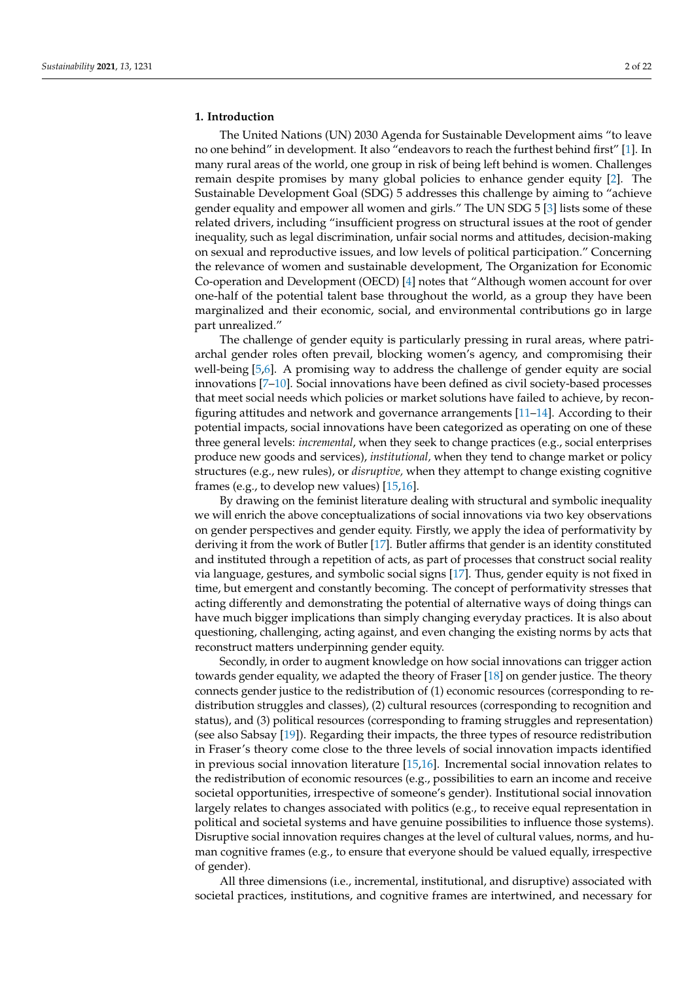#### **1. Introduction**

The United Nations (UN) 2030 Agenda for Sustainable Development aims "to leave no one behind" in development. It also "endeavors to reach the furthest behind first" [\[1\]](#page-18-0). In many rural areas of the world, one group in risk of being left behind is women. Challenges remain despite promises by many global policies to enhance gender equity [\[2\]](#page-18-1). The Sustainable Development Goal (SDG) 5 addresses this challenge by aiming to "achieve gender equality and empower all women and girls." The UN SDG 5 [\[3\]](#page-18-2) lists some of these related drivers, including "insufficient progress on structural issues at the root of gender inequality, such as legal discrimination, unfair social norms and attitudes, decision-making on sexual and reproductive issues, and low levels of political participation." Concerning the relevance of women and sustainable development, The Organization for Economic Co-operation and Development (OECD) [\[4\]](#page-18-3) notes that "Although women account for over one-half of the potential talent base throughout the world, as a group they have been marginalized and their economic, social, and environmental contributions go in large part unrealized."

The challenge of gender equity is particularly pressing in rural areas, where patriarchal gender roles often prevail, blocking women's agency, and compromising their well-being [\[5](#page-18-4)[,6\]](#page-18-5). A promising way to address the challenge of gender equity are social innovations [\[7–](#page-18-6)[10\]](#page-18-7). Social innovations have been defined as civil society-based processes that meet social needs which policies or market solutions have failed to achieve, by reconfiguring attitudes and network and governance arrangements [\[11](#page-18-8)[–14\]](#page-19-0). According to their potential impacts, social innovations have been categorized as operating on one of these three general levels: *incremental*, when they seek to change practices (e.g., social enterprises produce new goods and services), *institutional,* when they tend to change market or policy structures (e.g., new rules), or *disruptive,* when they attempt to change existing cognitive frames (e.g., to develop new values) [\[15,](#page-19-1)[16\]](#page-19-2).

By drawing on the feminist literature dealing with structural and symbolic inequality we will enrich the above conceptualizations of social innovations via two key observations on gender perspectives and gender equity. Firstly, we apply the idea of performativity by deriving it from the work of Butler [\[17\]](#page-19-3). Butler affirms that gender is an identity constituted and instituted through a repetition of acts, as part of processes that construct social reality via language, gestures, and symbolic social signs [\[17\]](#page-19-3). Thus, gender equity is not fixed in time, but emergent and constantly becoming. The concept of performativity stresses that acting differently and demonstrating the potential of alternative ways of doing things can have much bigger implications than simply changing everyday practices. It is also about questioning, challenging, acting against, and even changing the existing norms by acts that reconstruct matters underpinning gender equity.

Secondly, in order to augment knowledge on how social innovations can trigger action towards gender equality, we adapted the theory of Fraser [\[18\]](#page-19-4) on gender justice. The theory connects gender justice to the redistribution of (1) economic resources (corresponding to redistribution struggles and classes), (2) cultural resources (corresponding to recognition and status), and (3) political resources (corresponding to framing struggles and representation) (see also Sabsay [\[19\]](#page-19-5)). Regarding their impacts, the three types of resource redistribution in Fraser's theory come close to the three levels of social innovation impacts identified in previous social innovation literature [\[15,](#page-19-1)[16\]](#page-19-2). Incremental social innovation relates to the redistribution of economic resources (e.g., possibilities to earn an income and receive societal opportunities, irrespective of someone's gender). Institutional social innovation largely relates to changes associated with politics (e.g., to receive equal representation in political and societal systems and have genuine possibilities to influence those systems). Disruptive social innovation requires changes at the level of cultural values, norms, and human cognitive frames (e.g., to ensure that everyone should be valued equally, irrespective of gender).

All three dimensions (i.e., incremental, institutional, and disruptive) associated with societal practices, institutions, and cognitive frames are intertwined, and necessary for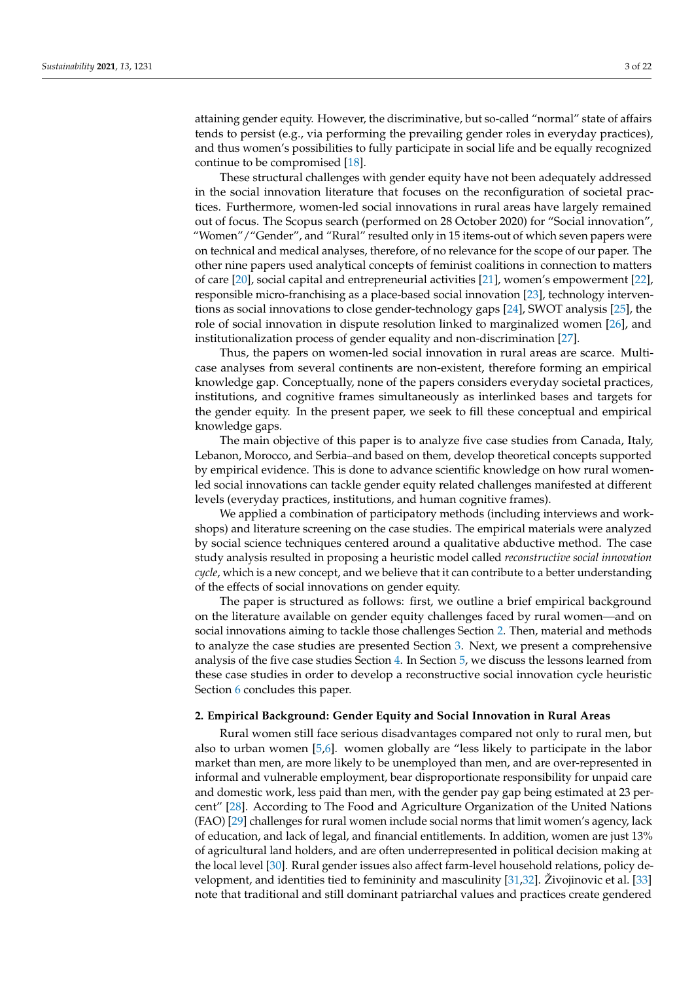attaining gender equity. However, the discriminative, but so-called "normal" state of affairs tends to persist (e.g., via performing the prevailing gender roles in everyday practices), and thus women's possibilities to fully participate in social life and be equally recognized continue to be compromised [\[18\]](#page-19-4).

These structural challenges with gender equity have not been adequately addressed in the social innovation literature that focuses on the reconfiguration of societal practices. Furthermore, women-led social innovations in rural areas have largely remained out of focus. The Scopus search (performed on 28 October 2020) for "Social innovation", "Women"/"Gender", and "Rural" resulted only in 15 items-out of which seven papers were on technical and medical analyses, therefore, of no relevance for the scope of our paper. The other nine papers used analytical concepts of feminist coalitions in connection to matters of care [\[20\]](#page-19-6), social capital and entrepreneurial activities [\[21\]](#page-19-7), women's empowerment [\[22\]](#page-19-8), responsible micro-franchising as a place-based social innovation [\[23\]](#page-19-9), technology interventions as social innovations to close gender-technology gaps [\[24\]](#page-19-10), SWOT analysis [\[25\]](#page-19-11), the role of social innovation in dispute resolution linked to marginalized women [\[26\]](#page-19-12), and institutionalization process of gender equality and non-discrimination [\[27\]](#page-19-13).

Thus, the papers on women-led social innovation in rural areas are scarce. Multicase analyses from several continents are non-existent, therefore forming an empirical knowledge gap. Conceptually, none of the papers considers everyday societal practices, institutions, and cognitive frames simultaneously as interlinked bases and targets for the gender equity. In the present paper, we seek to fill these conceptual and empirical knowledge gaps.

The main objective of this paper is to analyze five case studies from Canada, Italy, Lebanon, Morocco, and Serbia–and based on them, develop theoretical concepts supported by empirical evidence. This is done to advance scientific knowledge on how rural womenled social innovations can tackle gender equity related challenges manifested at different levels (everyday practices, institutions, and human cognitive frames).

We applied a combination of participatory methods (including interviews and workshops) and literature screening on the case studies. The empirical materials were analyzed by social science techniques centered around a qualitative abductive method. The case study analysis resulted in proposing a heuristic model called *reconstructive social innovation cycle*, which is a new concept, and we believe that it can contribute to a better understanding of the effects of social innovations on gender equity.

The paper is structured as follows: first, we outline a brief empirical background on the literature available on gender equity challenges faced by rural women—and on social innovations aiming to tackle those challenges Section [2.](#page-2-0) Then, material and methods to analyze the case studies are presented Section [3.](#page-3-0) Next, we present a comprehensive analysis of the five case studies Section [4.](#page-6-0) In Section [5,](#page-12-0) we discuss the lessons learned from these case studies in order to develop a reconstructive social innovation cycle heuristic Section [6](#page-17-0) concludes this paper.

#### <span id="page-2-0"></span>**2. Empirical Background: Gender Equity and Social Innovation in Rural Areas**

Rural women still face serious disadvantages compared not only to rural men, but also to urban women [\[5](#page-18-4)[,6\]](#page-18-5). women globally are "less likely to participate in the labor market than men, are more likely to be unemployed than men, and are over-represented in informal and vulnerable employment, bear disproportionate responsibility for unpaid care and domestic work, less paid than men, with the gender pay gap being estimated at 23 percent" [\[28\]](#page-19-14). According to The Food and Agriculture Organization of the United Nations (FAO) [\[29\]](#page-19-15) challenges for rural women include social norms that limit women's agency, lack of education, and lack of legal, and financial entitlements. In addition, women are just 13% of agricultural land holders, and are often underrepresented in political decision making at the local level [\[30\]](#page-19-16). Rural gender issues also affect farm-level household relations, policy development, and identities tied to femininity and masculinity [\[31,](#page-19-17)[32\]](#page-19-18). Živojinovic et al. [\[33\]](#page-19-19) note that traditional and still dominant patriarchal values and practices create gendered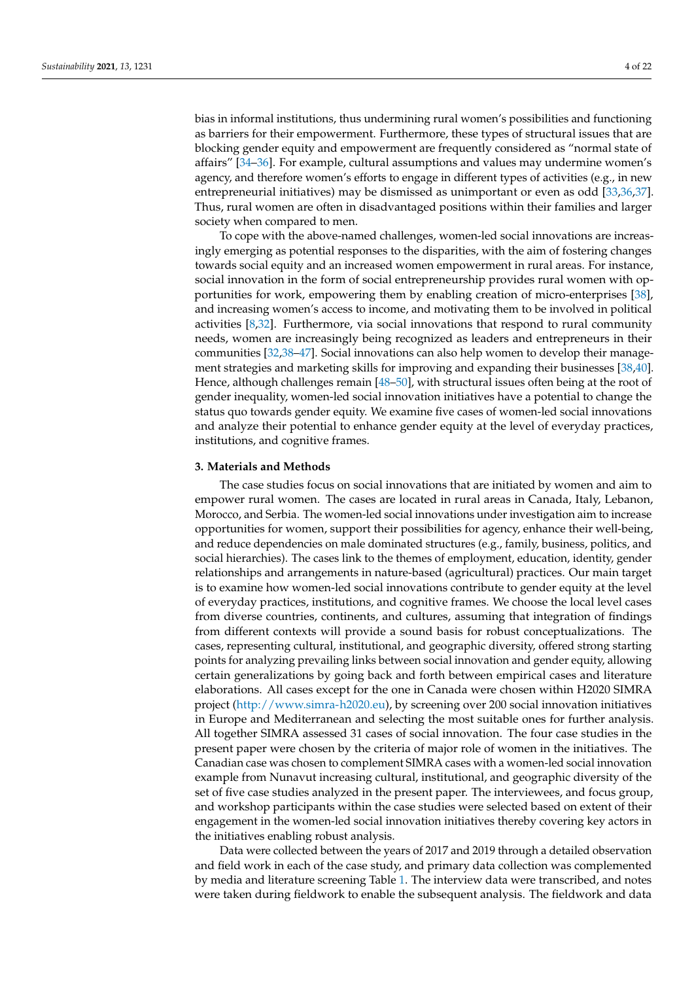bias in informal institutions, thus undermining rural women's possibilities and functioning as barriers for their empowerment. Furthermore, these types of structural issues that are blocking gender equity and empowerment are frequently considered as "normal state of affairs" [\[34–](#page-19-20)[36\]](#page-19-21). For example, cultural assumptions and values may undermine women's agency, and therefore women's efforts to engage in different types of activities (e.g., in new entrepreneurial initiatives) may be dismissed as unimportant or even as odd [\[33,](#page-19-19)[36,](#page-19-21)[37\]](#page-19-22). Thus, rural women are often in disadvantaged positions within their families and larger society when compared to men.

To cope with the above-named challenges, women-led social innovations are increasingly emerging as potential responses to the disparities, with the aim of fostering changes towards social equity and an increased women empowerment in rural areas. For instance, social innovation in the form of social entrepreneurship provides rural women with opportunities for work, empowering them by enabling creation of micro-enterprises [\[38\]](#page-19-23), and increasing women's access to income, and motivating them to be involved in political activities [\[8,](#page-18-9)[32\]](#page-19-18). Furthermore, via social innovations that respond to rural community needs, women are increasingly being recognized as leaders and entrepreneurs in their communities [\[32,](#page-19-18)[38–](#page-19-23)[47\]](#page-20-0). Social innovations can also help women to develop their management strategies and marketing skills for improving and expanding their businesses [\[38](#page-19-23)[,40\]](#page-19-24). Hence, although challenges remain [\[48–](#page-20-1)[50\]](#page-20-2), with structural issues often being at the root of gender inequality, women-led social innovation initiatives have a potential to change the status quo towards gender equity. We examine five cases of women-led social innovations and analyze their potential to enhance gender equity at the level of everyday practices, institutions, and cognitive frames.

#### <span id="page-3-0"></span>**3. Materials and Methods**

The case studies focus on social innovations that are initiated by women and aim to empower rural women. The cases are located in rural areas in Canada, Italy, Lebanon, Morocco, and Serbia. The women-led social innovations under investigation aim to increase opportunities for women, support their possibilities for agency, enhance their well-being, and reduce dependencies on male dominated structures (e.g., family, business, politics, and social hierarchies). The cases link to the themes of employment, education, identity, gender relationships and arrangements in nature-based (agricultural) practices. Our main target is to examine how women-led social innovations contribute to gender equity at the level of everyday practices, institutions, and cognitive frames. We choose the local level cases from diverse countries, continents, and cultures, assuming that integration of findings from different contexts will provide a sound basis for robust conceptualizations. The cases, representing cultural, institutional, and geographic diversity, offered strong starting points for analyzing prevailing links between social innovation and gender equity, allowing certain generalizations by going back and forth between empirical cases and literature elaborations. All cases except for the one in Canada were chosen within H2020 SIMRA project [\(http://www.simra-h2020.eu\)](http://www.simra-h2020.eu), by screening over 200 social innovation initiatives in Europe and Mediterranean and selecting the most suitable ones for further analysis. All together SIMRA assessed 31 cases of social innovation. The four case studies in the present paper were chosen by the criteria of major role of women in the initiatives. The Canadian case was chosen to complement SIMRA cases with a women-led social innovation example from Nunavut increasing cultural, institutional, and geographic diversity of the set of five case studies analyzed in the present paper. The interviewees, and focus group, and workshop participants within the case studies were selected based on extent of their engagement in the women-led social innovation initiatives thereby covering key actors in the initiatives enabling robust analysis.

Data were collected between the years of 2017 and 2019 through a detailed observation and field work in each of the case study, and primary data collection was complemented by media and literature screening Table [1.](#page-5-0) The interview data were transcribed, and notes were taken during fieldwork to enable the subsequent analysis. The fieldwork and data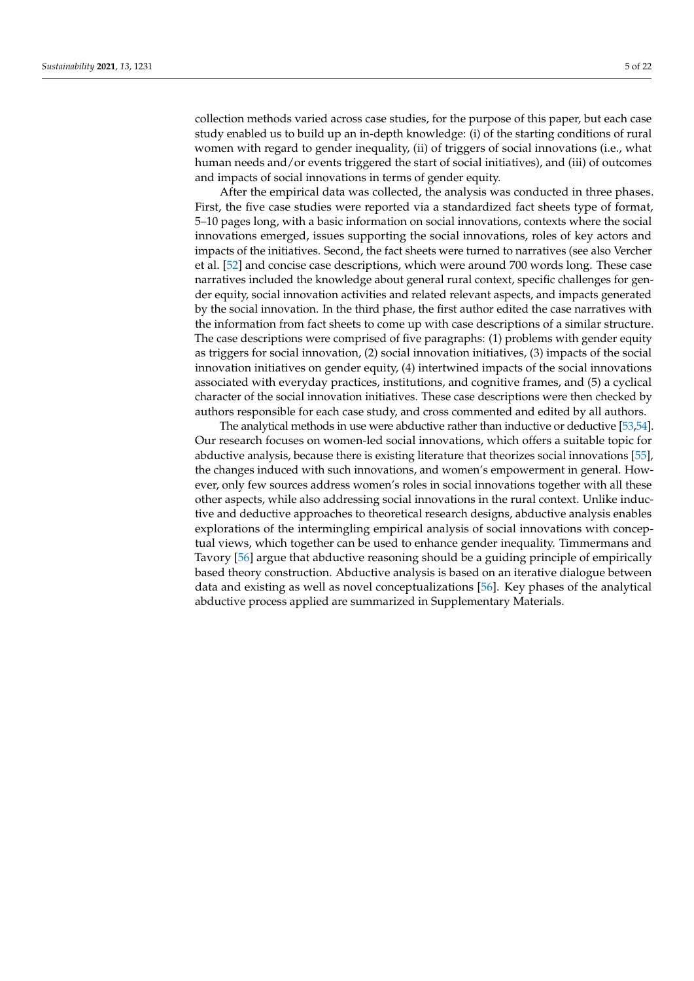collection methods varied across case studies, for the purpose of this paper, but each case study enabled us to build up an in-depth knowledge: (i) of the starting conditions of rural women with regard to gender inequality, (ii) of triggers of social innovations (i.e., what human needs and/or events triggered the start of social initiatives), and (iii) of outcomes and impacts of social innovations in terms of gender equity.

After the empirical data was collected, the analysis was conducted in three phases. First, the five case studies were reported via a standardized fact sheets type of format, 5–10 pages long, with a basic information on social innovations, contexts where the social innovations emerged, issues supporting the social innovations, roles of key actors and impacts of the initiatives. Second, the fact sheets were turned to narratives (see also Vercher et al. [\[52\]](#page-20-3) and concise case descriptions, which were around 700 words long. These case narratives included the knowledge about general rural context, specific challenges for gender equity, social innovation activities and related relevant aspects, and impacts generated by the social innovation. In the third phase, the first author edited the case narratives with the information from fact sheets to come up with case descriptions of a similar structure. The case descriptions were comprised of five paragraphs: (1) problems with gender equity as triggers for social innovation, (2) social innovation initiatives, (3) impacts of the social innovation initiatives on gender equity, (4) intertwined impacts of the social innovations associated with everyday practices, institutions, and cognitive frames, and (5) a cyclical character of the social innovation initiatives. These case descriptions were then checked by authors responsible for each case study, and cross commented and edited by all authors.

The analytical methods in use were abductive rather than inductive or deductive [\[53,](#page-20-4)[54\]](#page-20-5). Our research focuses on women-led social innovations, which offers a suitable topic for abductive analysis, because there is existing literature that theorizes social innovations [\[55\]](#page-20-6), the changes induced with such innovations, and women's empowerment in general. However, only few sources address women's roles in social innovations together with all these other aspects, while also addressing social innovations in the rural context. Unlike inductive and deductive approaches to theoretical research designs, abductive analysis enables explorations of the intermingling empirical analysis of social innovations with conceptual views, which together can be used to enhance gender inequality. Timmermans and Tavory [\[56\]](#page-20-7) argue that abductive reasoning should be a guiding principle of empirically based theory construction. Abductive analysis is based on an iterative dialogue between data and existing as well as novel conceptualizations [\[56\]](#page-20-7). Key phases of the analytical abductive process applied are summarized in Supplementary Materials.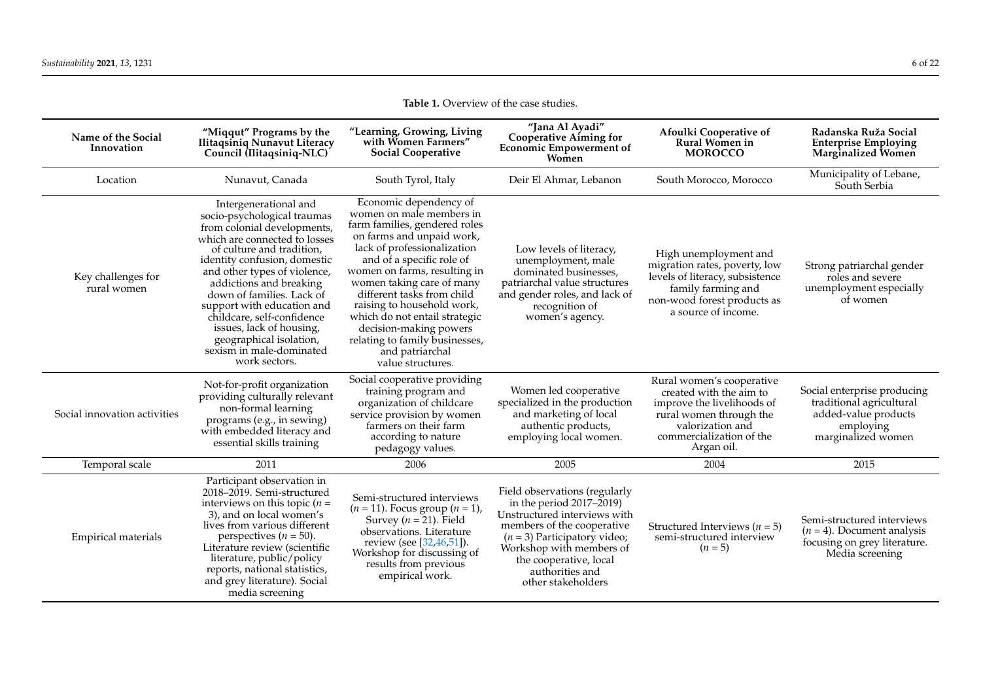<span id="page-5-0"></span>

| <b>Table 1.</b> Overview of the case studies. |                                                                                                                                                                                                                                                                                                                                                                                                                                           |                                                                                                                                                                                                                                                                                                                                                                                                                                            |                                                                                                                                                                                                                                                                     |                                                                                                                                                                             |                                                                                                                    |  |  |  |
|-----------------------------------------------|-------------------------------------------------------------------------------------------------------------------------------------------------------------------------------------------------------------------------------------------------------------------------------------------------------------------------------------------------------------------------------------------------------------------------------------------|--------------------------------------------------------------------------------------------------------------------------------------------------------------------------------------------------------------------------------------------------------------------------------------------------------------------------------------------------------------------------------------------------------------------------------------------|---------------------------------------------------------------------------------------------------------------------------------------------------------------------------------------------------------------------------------------------------------------------|-----------------------------------------------------------------------------------------------------------------------------------------------------------------------------|--------------------------------------------------------------------------------------------------------------------|--|--|--|
| Name of the Social<br>Innovation              | "Miqqut" Programs by the<br>Ilitaqsiniq Nunavut Literacy<br>Council (Ilitaqsiniq-NLC)                                                                                                                                                                                                                                                                                                                                                     | "Learning, Growing, Living<br>with Women Farmers"<br><b>Social Cooperative</b>                                                                                                                                                                                                                                                                                                                                                             | "Jana Al Ayadi"<br><b>Cooperative Aiming for</b><br>Economic Empowerment of<br>Women                                                                                                                                                                                | Afoulki Cooperative of<br>Rural Women in<br><b>MOROCCO</b>                                                                                                                  | Radanska Ruža Social<br><b>Enterprise Employing</b><br>Marginalized Women                                          |  |  |  |
| Location                                      | Nunavut, Canada                                                                                                                                                                                                                                                                                                                                                                                                                           | South Tyrol, Italy                                                                                                                                                                                                                                                                                                                                                                                                                         | Deir El Ahmar, Lebanon                                                                                                                                                                                                                                              | South Morocco, Morocco                                                                                                                                                      | Municipality of Lebane,<br>South Serbia                                                                            |  |  |  |
| Key challenges for<br>rural women             | Intergenerational and<br>socio-psychological traumas<br>from colonial developments,<br>which are connected to losses<br>of culture and tradition,<br>identity confusion, domestic<br>and other types of violence,<br>addictions and breaking<br>down of families. Lack of<br>support with education and<br>childcare, self-confidence<br>issues, lack of housing,<br>geographical isolation,<br>sexism in male-dominated<br>work sectors. | Economic dependency of<br>women on male members in<br>farm families, gendered roles<br>on farms and unpaid work,<br>lack of professionalization<br>and of a specific role of<br>women on farms, resulting in<br>women taking care of many<br>different tasks from child<br>raising to household work,<br>which do not entail strategic<br>decision-making powers<br>relating to family businesses,<br>and patriarchal<br>value structures. | Low levels of literacy,<br>unemployment, male<br>dominated businesses.<br>patriarchal value structures<br>and gender roles, and lack of<br>recognition of<br>women's agency.                                                                                        | High unemployment and<br>migration rates, poverty, low<br>levels of literacy, subsistence<br>family farming and<br>non-wood forest products as<br>a source of income.       | Strong patriarchal gender<br>roles and severe<br>unemployment especially<br>of women                               |  |  |  |
| Social innovation activities                  | Not-for-profit organization<br>providing culturally relevant<br>non-formal learning<br>programs (e.g., in sewing)<br>with embedded literacy and<br>essential skills training                                                                                                                                                                                                                                                              | Social cooperative providing<br>training program and<br>organization of childcare<br>service provision by women<br>farmers on their farm<br>according to nature<br>pedagogy values.                                                                                                                                                                                                                                                        | Women led cooperative<br>specialized in the production<br>and marketing of local<br>authentic products,<br>employing local women.                                                                                                                                   | Rural women's cooperative<br>created with the aim to<br>improve the livelihoods of<br>rural women through the<br>valorization and<br>commercialization of the<br>Argan oil. | Social enterprise producing<br>traditional agricultural<br>added-value products<br>employing<br>marginalized women |  |  |  |
| Temporal scale                                | 2011                                                                                                                                                                                                                                                                                                                                                                                                                                      | 2006                                                                                                                                                                                                                                                                                                                                                                                                                                       | 2005                                                                                                                                                                                                                                                                | 2004                                                                                                                                                                        | 2015                                                                                                               |  |  |  |
| Empirical materials                           | Participant observation in<br>2018–2019. Semi-structured<br>interviews on this topic ( $n =$<br>3), and on local women's<br>lives from various different<br>perspectives ( $n = 50$ ).<br>Literature review (scientific<br>literature, public/policy<br>reports, national statistics,<br>and grey literature). Social<br>media screening                                                                                                  | Semi-structured interviews<br>$(n = 11)$ . Focus group $(n = 1)$ ,<br>Survey ( $n = 21$ ). Field<br>observations. Literature<br>review (see [32,46,51]).<br>Workshop for discussing of<br>results from previous<br>empirical work.                                                                                                                                                                                                         | Field observations (regularly<br>in the period $2017-\tilde{2}019$ )<br>Unstructured interviews with<br>members of the cooperative<br>$(n = 3)$ Participatory video;<br>Workshop with members of<br>the cooperative, local<br>authorities and<br>other stakeholders | Structured Interviews ( $n = 5$ )<br>semi-structured interview<br>$(n = 5)$                                                                                                 | Semi-structured interviews<br>$(n = 4)$ . Document analysis<br>focusing on grey literature.<br>Media screening     |  |  |  |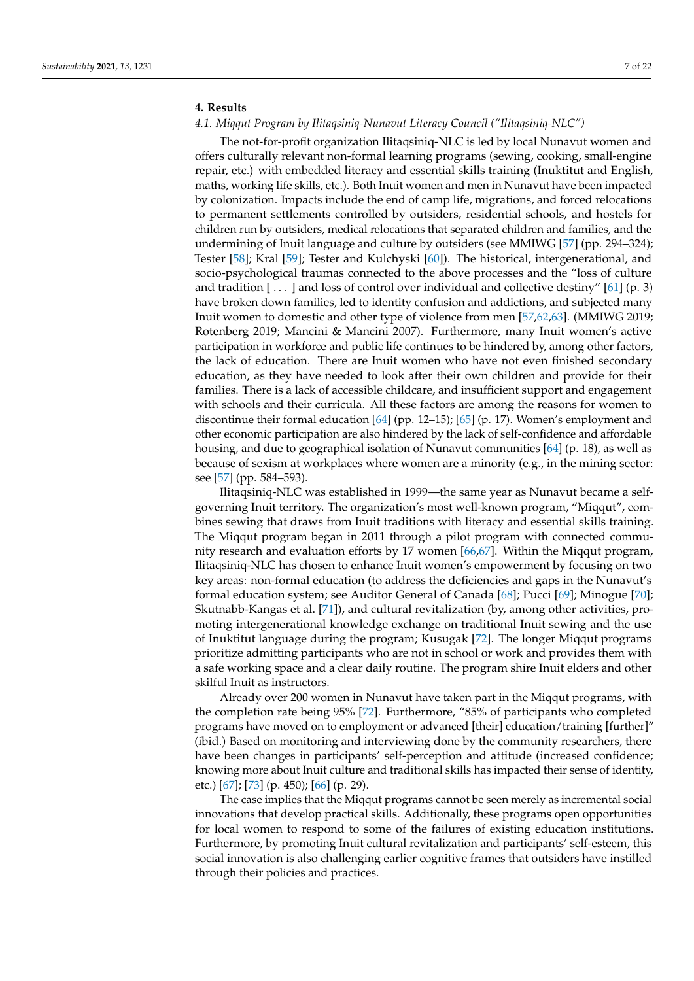## <span id="page-6-0"></span>**4. Results**

# *4.1. Miqqut Program by Ilitaqsiniq-Nunavut Literacy Council ("Ilitaqsiniq-NLC")*

The not-for-profit organization Ilitaqsiniq-NLC is led by local Nunavut women and offers culturally relevant non-formal learning programs (sewing, cooking, small-engine repair, etc.) with embedded literacy and essential skills training (Inuktitut and English, maths, working life skills, etc.). Both Inuit women and men in Nunavut have been impacted by colonization. Impacts include the end of camp life, migrations, and forced relocations to permanent settlements controlled by outsiders, residential schools, and hostels for children run by outsiders, medical relocations that separated children and families, and the undermining of Inuit language and culture by outsiders (see MMIWG [\[57\]](#page-20-10) (pp. 294–324); Tester [\[58\]](#page-20-11); Kral [\[59\]](#page-20-12); Tester and Kulchyski [\[60\]](#page-20-13)). The historical, intergenerational, and socio-psychological traumas connected to the above processes and the "loss of culture and tradition  $[\dots]$  and loss of control over individual and collective destiny" [\[61\]](#page-20-14) (p. 3) have broken down families, led to identity confusion and addictions, and subjected many Inuit women to domestic and other type of violence from men [\[57,](#page-20-10)[62,](#page-20-15)[63\]](#page-20-16). (MMIWG 2019; Rotenberg 2019; Mancini & Mancini 2007). Furthermore, many Inuit women's active participation in workforce and public life continues to be hindered by, among other factors, the lack of education. There are Inuit women who have not even finished secondary education, as they have needed to look after their own children and provide for their families. There is a lack of accessible childcare, and insufficient support and engagement with schools and their curricula. All these factors are among the reasons for women to discontinue their formal education [\[64\]](#page-21-0) (pp. 12–15); [\[65\]](#page-21-1) (p. 17). Women's employment and other economic participation are also hindered by the lack of self-confidence and affordable housing, and due to geographical isolation of Nunavut communities [\[64\]](#page-21-0) (p. 18), as well as because of sexism at workplaces where women are a minority (e.g., in the mining sector: see [\[57\]](#page-20-10) (pp. 584–593).

Ilitaqsiniq-NLC was established in 1999—the same year as Nunavut became a selfgoverning Inuit territory. The organization's most well-known program, "Miqqut", combines sewing that draws from Inuit traditions with literacy and essential skills training. The Miqqut program began in 2011 through a pilot program with connected community research and evaluation efforts by 17 women [\[66](#page-21-2)[,67\]](#page-21-3). Within the Miqqut program, Ilitaqsiniq-NLC has chosen to enhance Inuit women's empowerment by focusing on two key areas: non-formal education (to address the deficiencies and gaps in the Nunavut's formal education system; see Auditor General of Canada [\[68\]](#page-21-4); Pucci [\[69\]](#page-21-5); Minogue [\[70\]](#page-21-6); Skutnabb-Kangas et al. [\[71\]](#page-21-7)), and cultural revitalization (by, among other activities, promoting intergenerational knowledge exchange on traditional Inuit sewing and the use of Inuktitut language during the program; Kusugak [\[72\]](#page-21-8). The longer Miqqut programs prioritize admitting participants who are not in school or work and provides them with a safe working space and a clear daily routine. The program shire Inuit elders and other skilful Inuit as instructors.

Already over 200 women in Nunavut have taken part in the Miqqut programs, with the completion rate being 95% [\[72\]](#page-21-8). Furthermore, "85% of participants who completed programs have moved on to employment or advanced [their] education/training [further]" (ibid.) Based on monitoring and interviewing done by the community researchers, there have been changes in participants' self-perception and attitude (increased confidence; knowing more about Inuit culture and traditional skills has impacted their sense of identity, etc.) [\[67\]](#page-21-3); [\[73\]](#page-21-9) (p. 450); [\[66\]](#page-21-2) (p. 29).

The case implies that the Miqqut programs cannot be seen merely as incremental social innovations that develop practical skills. Additionally, these programs open opportunities for local women to respond to some of the failures of existing education institutions. Furthermore, by promoting Inuit cultural revitalization and participants' self-esteem, this social innovation is also challenging earlier cognitive frames that outsiders have instilled through their policies and practices.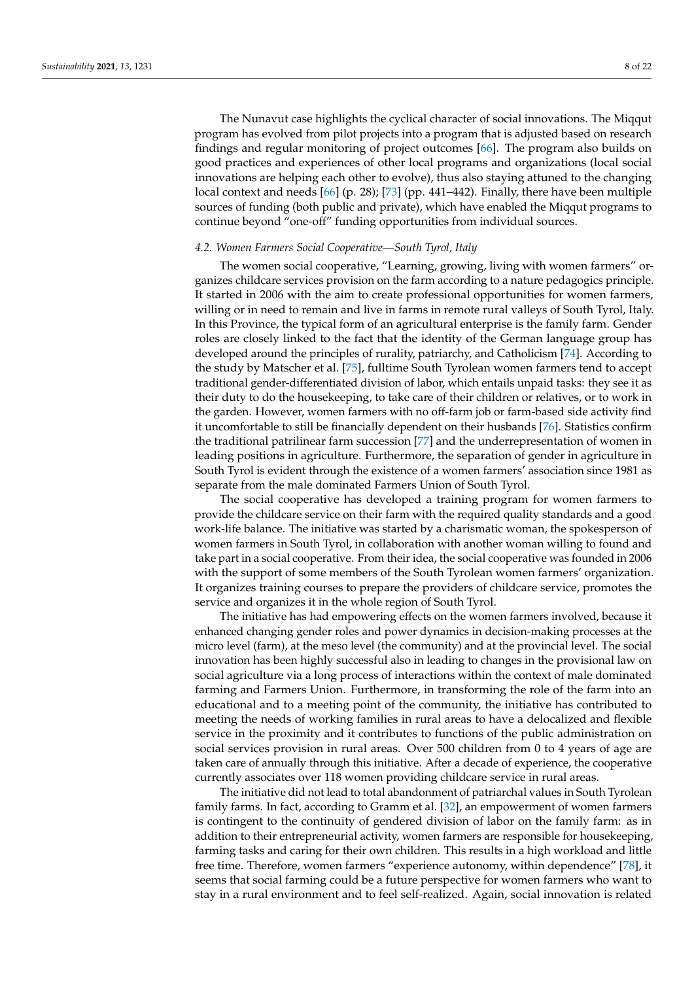The Nunavut case highlights the cyclical character of social innovations. The Miqqut program has evolved from pilot projects into a program that is adjusted based on research findings and regular monitoring of project outcomes [\[66\]](#page-21-2). The program also builds on good practices and experiences of other local programs and organizations (local social innovations are helping each other to evolve), thus also staying attuned to the changing local context and needs [\[66\]](#page-21-2) (p. 28); [\[73\]](#page-21-9) (pp. 441–442). Finally, there have been multiple sources of funding (both public and private), which have enabled the Miqqut programs to continue beyond "one-off" funding opportunities from individual sources.

#### *4.2. Women Farmers Social Cooperative—South Tyrol, Italy*

The women social cooperative, "Learning, growing, living with women farmers" organizes childcare services provision on the farm according to a nature pedagogics principle. It started in 2006 with the aim to create professional opportunities for women farmers, willing or in need to remain and live in farms in remote rural valleys of South Tyrol, Italy. In this Province, the typical form of an agricultural enterprise is the family farm. Gender roles are closely linked to the fact that the identity of the German language group has developed around the principles of rurality, patriarchy, and Catholicism [\[74\]](#page-21-10). According to the study by Matscher et al. [\[75\]](#page-21-11), fulltime South Tyrolean women farmers tend to accept traditional gender-differentiated division of labor, which entails unpaid tasks: they see it as their duty to do the housekeeping, to take care of their children or relatives, or to work in the garden. However, women farmers with no off-farm job or farm-based side activity find it uncomfortable to still be financially dependent on their husbands [\[76\]](#page-21-12). Statistics confirm the traditional patrilinear farm succession [\[77\]](#page-21-13) and the underrepresentation of women in leading positions in agriculture. Furthermore, the separation of gender in agriculture in South Tyrol is evident through the existence of a women farmers' association since 1981 as separate from the male dominated Farmers Union of South Tyrol.

The social cooperative has developed a training program for women farmers to provide the childcare service on their farm with the required quality standards and a good work-life balance. The initiative was started by a charismatic woman, the spokesperson of women farmers in South Tyrol, in collaboration with another woman willing to found and take part in a social cooperative. From their idea, the social cooperative was founded in 2006 with the support of some members of the South Tyrolean women farmers' organization. It organizes training courses to prepare the providers of childcare service, promotes the service and organizes it in the whole region of South Tyrol.

The initiative has had empowering effects on the women farmers involved, because it enhanced changing gender roles and power dynamics in decision-making processes at the micro level (farm), at the meso level (the community) and at the provincial level. The social innovation has been highly successful also in leading to changes in the provisional law on social agriculture via a long process of interactions within the context of male dominated farming and Farmers Union. Furthermore, in transforming the role of the farm into an educational and to a meeting point of the community, the initiative has contributed to meeting the needs of working families in rural areas to have a delocalized and flexible service in the proximity and it contributes to functions of the public administration on social services provision in rural areas. Over 500 children from 0 to 4 years of age are taken care of annually through this initiative. After a decade of experience, the cooperative currently associates over 118 women providing childcare service in rural areas.

The initiative did not lead to total abandonment of patriarchal values in South Tyrolean family farms. In fact, according to Gramm et al. [\[32\]](#page-19-18), an empowerment of women farmers is contingent to the continuity of gendered division of labor on the family farm: as in addition to their entrepreneurial activity, women farmers are responsible for housekeeping, farming tasks and caring for their own children. This results in a high workload and little free time. Therefore, women farmers "experience autonomy, within dependence" [\[78\]](#page-21-14), it seems that social farming could be a future perspective for women farmers who want to stay in a rural environment and to feel self-realized. Again, social innovation is related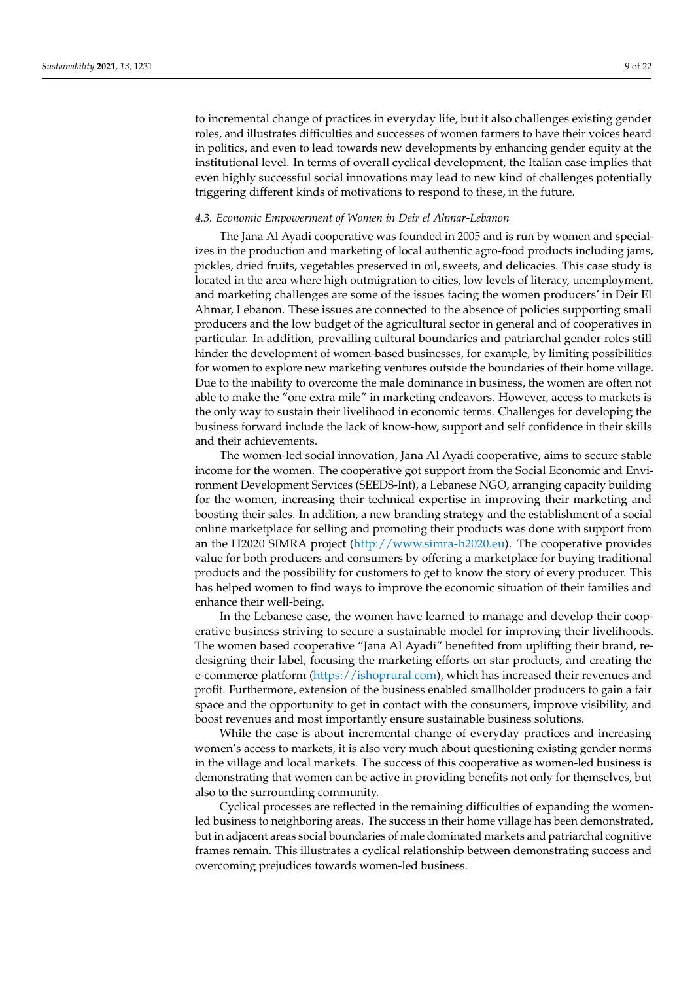to incremental change of practices in everyday life, but it also challenges existing gender roles, and illustrates difficulties and successes of women farmers to have their voices heard in politics, and even to lead towards new developments by enhancing gender equity at the institutional level. In terms of overall cyclical development, the Italian case implies that even highly successful social innovations may lead to new kind of challenges potentially triggering different kinds of motivations to respond to these, in the future.

#### *4.3. Economic Empowerment of Women in Deir el Ahmar-Lebanon*

The Jana Al Ayadi cooperative was founded in 2005 and is run by women and specializes in the production and marketing of local authentic agro-food products including jams, pickles, dried fruits, vegetables preserved in oil, sweets, and delicacies. This case study is located in the area where high outmigration to cities, low levels of literacy, unemployment, and marketing challenges are some of the issues facing the women producers' in Deir El Ahmar, Lebanon. These issues are connected to the absence of policies supporting small producers and the low budget of the agricultural sector in general and of cooperatives in particular. In addition, prevailing cultural boundaries and patriarchal gender roles still hinder the development of women-based businesses, for example, by limiting possibilities for women to explore new marketing ventures outside the boundaries of their home village. Due to the inability to overcome the male dominance in business, the women are often not able to make the "one extra mile" in marketing endeavors. However, access to markets is the only way to sustain their livelihood in economic terms. Challenges for developing the business forward include the lack of know-how, support and self confidence in their skills and their achievements.

The women-led social innovation, Jana Al Ayadi cooperative, aims to secure stable income for the women. The cooperative got support from the Social Economic and Environment Development Services (SEEDS-Int), a Lebanese NGO, arranging capacity building for the women, increasing their technical expertise in improving their marketing and boosting their sales. In addition, a new branding strategy and the establishment of a social online marketplace for selling and promoting their products was done with support from an the H2020 SIMRA project [\(http://www.simra-h2020.eu\)](http://www.simra-h2020.eu). The cooperative provides value for both producers and consumers by offering a marketplace for buying traditional products and the possibility for customers to get to know the story of every producer. This has helped women to find ways to improve the economic situation of their families and enhance their well-being.

In the Lebanese case, the women have learned to manage and develop their cooperative business striving to secure a sustainable model for improving their livelihoods. The women based cooperative "Jana Al Ayadi" benefited from uplifting their brand, redesigning their label, focusing the marketing efforts on star products, and creating the e-commerce platform [\(https://ishoprural.com\)](https://ishoprural.com), which has increased their revenues and profit. Furthermore, extension of the business enabled smallholder producers to gain a fair space and the opportunity to get in contact with the consumers, improve visibility, and boost revenues and most importantly ensure sustainable business solutions.

While the case is about incremental change of everyday practices and increasing women's access to markets, it is also very much about questioning existing gender norms in the village and local markets. The success of this cooperative as women-led business is demonstrating that women can be active in providing benefits not only for themselves, but also to the surrounding community.

Cyclical processes are reflected in the remaining difficulties of expanding the womenled business to neighboring areas. The success in their home village has been demonstrated, but in adjacent areas social boundaries of male dominated markets and patriarchal cognitive frames remain. This illustrates a cyclical relationship between demonstrating success and overcoming prejudices towards women-led business.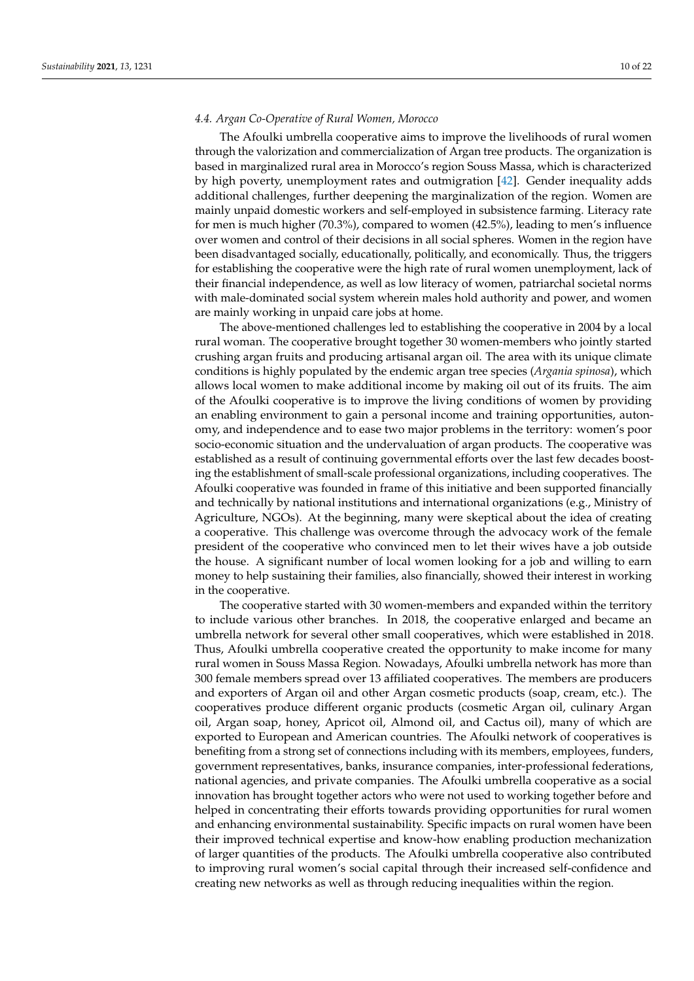#### *4.4. Argan Co-Operative of Rural Women, Morocco*

The Afoulki umbrella cooperative aims to improve the livelihoods of rural women through the valorization and commercialization of Argan tree products. The organization is based in marginalized rural area in Morocco's region Souss Massa, which is characterized by high poverty, unemployment rates and outmigration [\[42\]](#page-20-17). Gender inequality adds additional challenges, further deepening the marginalization of the region. Women are mainly unpaid domestic workers and self-employed in subsistence farming. Literacy rate for men is much higher (70.3%), compared to women (42.5%), leading to men's influence over women and control of their decisions in all social spheres. Women in the region have been disadvantaged socially, educationally, politically, and economically. Thus, the triggers for establishing the cooperative were the high rate of rural women unemployment, lack of their financial independence, as well as low literacy of women, patriarchal societal norms with male-dominated social system wherein males hold authority and power, and women are mainly working in unpaid care jobs at home.

The above-mentioned challenges led to establishing the cooperative in 2004 by a local rural woman. The cooperative brought together 30 women-members who jointly started crushing argan fruits and producing artisanal argan oil. The area with its unique climate conditions is highly populated by the endemic argan tree species (*Argania spinosa*), which allows local women to make additional income by making oil out of its fruits. The aim of the Afoulki cooperative is to improve the living conditions of women by providing an enabling environment to gain a personal income and training opportunities, autonomy, and independence and to ease two major problems in the territory: women's poor socio-economic situation and the undervaluation of argan products. The cooperative was established as a result of continuing governmental efforts over the last few decades boosting the establishment of small-scale professional organizations, including cooperatives. The Afoulki cooperative was founded in frame of this initiative and been supported financially and technically by national institutions and international organizations (e.g., Ministry of Agriculture, NGOs). At the beginning, many were skeptical about the idea of creating a cooperative. This challenge was overcome through the advocacy work of the female president of the cooperative who convinced men to let their wives have a job outside the house. A significant number of local women looking for a job and willing to earn money to help sustaining their families, also financially, showed their interest in working in the cooperative.

The cooperative started with 30 women-members and expanded within the territory to include various other branches. In 2018, the cooperative enlarged and became an umbrella network for several other small cooperatives, which were established in 2018. Thus, Afoulki umbrella cooperative created the opportunity to make income for many rural women in Souss Massa Region. Nowadays, Afoulki umbrella network has more than 300 female members spread over 13 affiliated cooperatives. The members are producers and exporters of Argan oil and other Argan cosmetic products (soap, cream, etc.). The cooperatives produce different organic products (cosmetic Argan oil, culinary Argan oil, Argan soap, honey, Apricot oil, Almond oil, and Cactus oil), many of which are exported to European and American countries. The Afoulki network of cooperatives is benefiting from a strong set of connections including with its members, employees, funders, government representatives, banks, insurance companies, inter-professional federations, national agencies, and private companies. The Afoulki umbrella cooperative as a social innovation has brought together actors who were not used to working together before and helped in concentrating their efforts towards providing opportunities for rural women and enhancing environmental sustainability. Specific impacts on rural women have been their improved technical expertise and know-how enabling production mechanization of larger quantities of the products. The Afoulki umbrella cooperative also contributed to improving rural women's social capital through their increased self-confidence and creating new networks as well as through reducing inequalities within the region.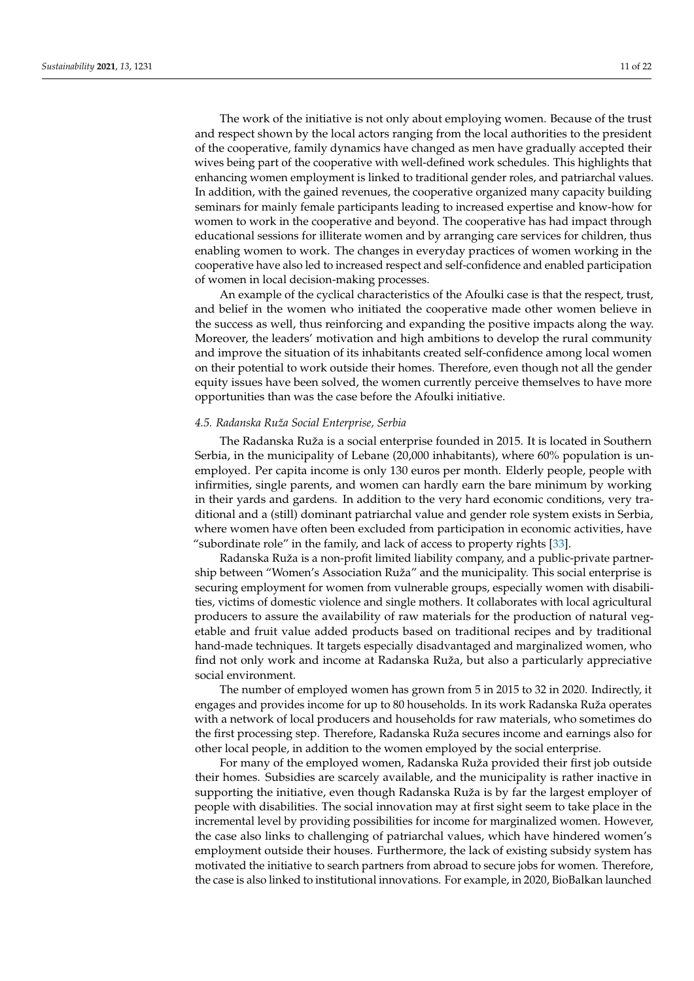The work of the initiative is not only about employing women. Because of the trust and respect shown by the local actors ranging from the local authorities to the president of the cooperative, family dynamics have changed as men have gradually accepted their wives being part of the cooperative with well-defined work schedules. This highlights that enhancing women employment is linked to traditional gender roles, and patriarchal values. In addition, with the gained revenues, the cooperative organized many capacity building seminars for mainly female participants leading to increased expertise and know-how for women to work in the cooperative and beyond. The cooperative has had impact through educational sessions for illiterate women and by arranging care services for children, thus enabling women to work. The changes in everyday practices of women working in the cooperative have also led to increased respect and self-confidence and enabled participation of women in local decision-making processes.

An example of the cyclical characteristics of the Afoulki case is that the respect, trust, and belief in the women who initiated the cooperative made other women believe in the success as well, thus reinforcing and expanding the positive impacts along the way. Moreover, the leaders' motivation and high ambitions to develop the rural community and improve the situation of its inhabitants created self-confidence among local women on their potential to work outside their homes. Therefore, even though not all the gender equity issues have been solved, the women currently perceive themselves to have more opportunities than was the case before the Afoulki initiative.

#### *4.5. Radanska Ruža Social Enterprise, Serbia*

The Radanska Ruža is a social enterprise founded in 2015. It is located in Southern Serbia, in the municipality of Lebane (20,000 inhabitants), where 60% population is unemployed. Per capita income is only 130 euros per month. Elderly people, people with infirmities, single parents, and women can hardly earn the bare minimum by working in their yards and gardens. In addition to the very hard economic conditions, very traditional and a (still) dominant patriarchal value and gender role system exists in Serbia, where women have often been excluded from participation in economic activities, have "subordinate role" in the family, and lack of access to property rights [\[33\]](#page-19-19).

Radanska Ruža is a non-profit limited liability company, and a public-private partnership between "Women's Association Ruža" and the municipality. This social enterprise is securing employment for women from vulnerable groups, especially women with disabilities, victims of domestic violence and single mothers. It collaborates with local agricultural producers to assure the availability of raw materials for the production of natural vegetable and fruit value added products based on traditional recipes and by traditional hand-made techniques. It targets especially disadvantaged and marginalized women, who find not only work and income at Radanska Ruža, but also a particularly appreciative social environment.

The number of employed women has grown from 5 in 2015 to 32 in 2020. Indirectly, it engages and provides income for up to 80 households. In its work Radanska Ruža operates with a network of local producers and households for raw materials, who sometimes do the first processing step. Therefore, Radanska Ruža secures income and earnings also for other local people, in addition to the women employed by the social enterprise.

For many of the employed women, Radanska Ruža provided their first job outside their homes. Subsidies are scarcely available, and the municipality is rather inactive in supporting the initiative, even though Radanska Ruža is by far the largest employer of people with disabilities. The social innovation may at first sight seem to take place in the incremental level by providing possibilities for income for marginalized women. However, the case also links to challenging of patriarchal values, which have hindered women's employment outside their houses. Furthermore, the lack of existing subsidy system has motivated the initiative to search partners from abroad to secure jobs for women. Therefore, the case is also linked to institutional innovations. For example, in 2020, BioBalkan launched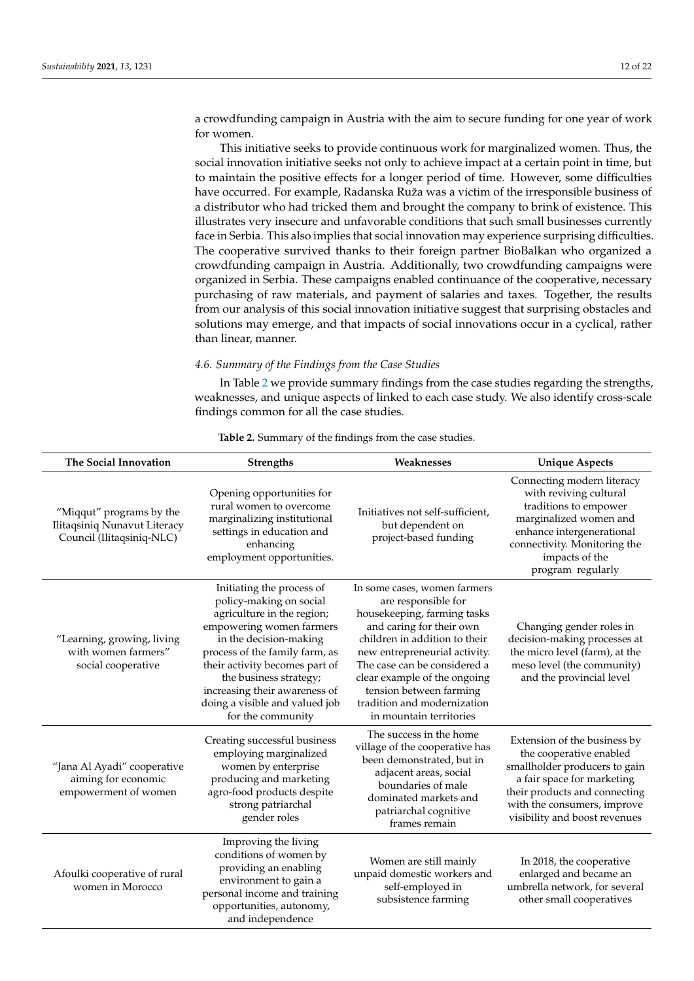a crowdfunding campaign in Austria with the aim to secure funding for one year of work for women.

This initiative seeks to provide continuous work for marginalized women. Thus, the social innovation initiative seeks not only to achieve impact at a certain point in time, but to maintain the positive effects for a longer period of time. However, some difficulties have occurred. For example, Radanska Ruža was a victim of the irresponsible business of a distributor who had tricked them and brought the company to brink of existence. This illustrates very insecure and unfavorable conditions that such small businesses currently face in Serbia. This also implies that social innovation may experience surprising difficulties. The cooperative survived thanks to their foreign partner BioBalkan who organized a crowdfunding campaign in Austria. Additionally, two crowdfunding campaigns were organized in Serbia. These campaigns enabled continuance of the cooperative, necessary purchasing of raw materials, and payment of salaries and taxes. Together, the results from our analysis of this social innovation initiative suggest that surprising obstacles and solutions may emerge, and that impacts of social innovations occur in a cyclical, rather than linear, manner.

*4.6. Summary of the Findings from the Case Studies*

In Table [2](#page-12-1) we provide summary findings from the case studies regarding the strengths, weaknesses, and unique aspects of linked to each case study. We also identify cross-scale findings common for all the case studies.

| The Social Innovation                                                                 | Strengths                                                                                                                                                                                                                                                                                                                      | Weaknesses                                                                                                                                                                                                                                                                                                                            | <b>Unique Aspects</b>                                                                                                                                                                                                   |
|---------------------------------------------------------------------------------------|--------------------------------------------------------------------------------------------------------------------------------------------------------------------------------------------------------------------------------------------------------------------------------------------------------------------------------|---------------------------------------------------------------------------------------------------------------------------------------------------------------------------------------------------------------------------------------------------------------------------------------------------------------------------------------|-------------------------------------------------------------------------------------------------------------------------------------------------------------------------------------------------------------------------|
| "Miqqut" programs by the<br>Ilitaqsiniq Nunavut Literacy<br>Council (Ilitaqsiniq-NLC) | Opening opportunities for<br>rural women to overcome<br>marginalizing institutional<br>settings in education and<br>enhancing<br>employment opportunities.                                                                                                                                                                     | Initiatives not self-sufficient,<br>but dependent on<br>project-based funding                                                                                                                                                                                                                                                         | Connecting modern literacy<br>with reviving cultural<br>traditions to empower<br>marginalized women and<br>enhance intergenerational<br>connectivity. Monitoring the<br>impacts of the<br>program regularly             |
| "Learning, growing, living<br>with women farmers"<br>social cooperative               | Initiating the process of<br>policy-making on social<br>agriculture in the region;<br>empowering women farmers<br>in the decision-making<br>process of the family farm, as<br>their activity becomes part of<br>the business strategy;<br>increasing their awareness of<br>doing a visible and valued job<br>for the community | In some cases, women farmers<br>are responsible for<br>housekeeping, farming tasks<br>and caring for their own<br>children in addition to their<br>new entrepreneurial activity.<br>The case can be considered a<br>clear example of the ongoing<br>tension between farming<br>tradition and modernization<br>in mountain territories | Changing gender roles in<br>decision-making processes at<br>the micro level (farm), at the<br>meso level (the community)<br>and the provincial level                                                                    |
| "Jana Al Ayadi" cooperative<br>aiming for economic<br>empowerment of women            | Creating successful business<br>employing marginalized<br>women by enterprise<br>producing and marketing<br>agro-food products despite<br>strong patriarchal<br>gender roles                                                                                                                                                   | The success in the home<br>village of the cooperative has<br>been demonstrated, but in<br>adjacent areas, social<br>boundaries of male<br>dominated markets and<br>patriarchal cognitive<br>frames remain                                                                                                                             | Extension of the business by<br>the cooperative enabled<br>smallholder producers to gain<br>a fair space for marketing<br>their products and connecting<br>with the consumers, improve<br>visibility and boost revenues |
| Afoulki cooperative of rural<br>women in Morocco                                      | Improving the living<br>conditions of women by<br>providing an enabling<br>environment to gain a<br>personal income and training<br>opportunities, autonomy,<br>and independence                                                                                                                                               | Women are still mainly<br>unpaid domestic workers and<br>self-employed in<br>subsistence farming                                                                                                                                                                                                                                      | In 2018, the cooperative<br>enlarged and became an<br>umbrella network, for several<br>other small cooperatives                                                                                                         |

**Table 2.** Summary of the findings from the case studies.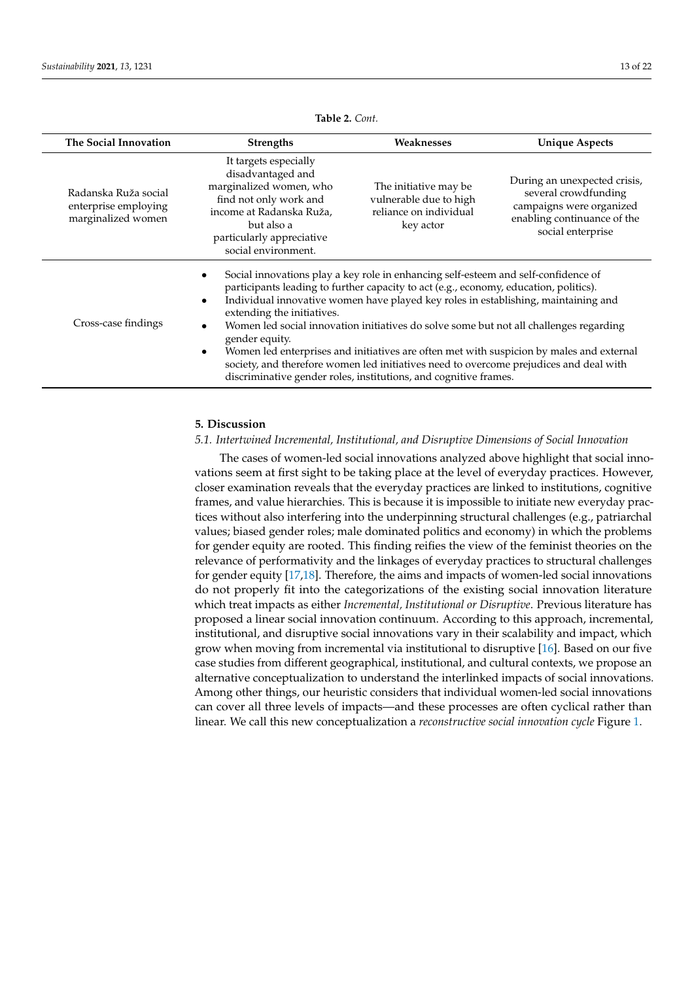<span id="page-12-1"></span>

| The Social Innovation                                              | <b>Strengths</b>                                                                                                                                                                              | Weaknesses                                                                                                                                                                                                                                                                                                                                                                                                                                                                                                                                                                                                            | <b>Unique Aspects</b>                                                                                                                |  |  |
|--------------------------------------------------------------------|-----------------------------------------------------------------------------------------------------------------------------------------------------------------------------------------------|-----------------------------------------------------------------------------------------------------------------------------------------------------------------------------------------------------------------------------------------------------------------------------------------------------------------------------------------------------------------------------------------------------------------------------------------------------------------------------------------------------------------------------------------------------------------------------------------------------------------------|--------------------------------------------------------------------------------------------------------------------------------------|--|--|
| Radanska Ruža social<br>enterprise employing<br>marginalized women | It targets especially<br>disadvantaged and<br>marginalized women, who<br>find not only work and<br>income at Radanska Ruža,<br>but also a<br>particularly appreciative<br>social environment. | The initiative may be<br>vulnerable due to high<br>reliance on individual<br>key actor                                                                                                                                                                                                                                                                                                                                                                                                                                                                                                                                | During an unexpected crisis,<br>several crowdfunding<br>campaigns were organized<br>enabling continuance of the<br>social enterprise |  |  |
| Cross-case findings                                                | $\bullet$<br>extending the initiatives.<br>gender equity.<br>$\bullet$                                                                                                                        | Social innovations play a key role in enhancing self-esteem and self-confidence of<br>participants leading to further capacity to act (e.g., economy, education, politics).<br>Individual innovative women have played key roles in establishing, maintaining and<br>Women led social innovation initiatives do solve some but not all challenges regarding<br>Women led enterprises and initiatives are often met with suspicion by males and external<br>society, and therefore women led initiatives need to overcome prejudices and deal with<br>discriminative gender roles, institutions, and cognitive frames. |                                                                                                                                      |  |  |

**Table 2.** *Cont.*

#### <span id="page-12-0"></span>**5. Discussion**

#### *5.1. Intertwined Incremental, Institutional, and Disruptive Dimensions of Social Innovation*

The cases of women-led social innovations analyzed above highlight that social innovations seem at first sight to be taking place at the level of everyday practices. However, closer examination reveals that the everyday practices are linked to institutions, cognitive frames, and value hierarchies. This is because it is impossible to initiate new everyday practices without also interfering into the underpinning structural challenges (e.g., patriarchal values; biased gender roles; male dominated politics and economy) in which the problems for gender equity are rooted. This finding reifies the view of the feminist theories on the relevance of performativity and the linkages of everyday practices to structural challenges for gender equity [\[17,](#page-19-3)[18\]](#page-19-4). Therefore, the aims and impacts of women-led social innovations do not properly fit into the categorizations of the existing social innovation literature which treat impacts as either *Incremental, Institutional or Disruptive*. Previous literature has proposed a linear social innovation continuum. According to this approach, incremental, institutional, and disruptive social innovations vary in their scalability and impact, which grow when moving from incremental via institutional to disruptive [\[16\]](#page-19-2). Based on our five case studies from different geographical, institutional, and cultural contexts, we propose an alternative conceptualization to understand the interlinked impacts of social innovations. Among other things, our heuristic considers that individual women-led social innovations can cover all three levels of impacts—and these processes are often cyclical rather than linear. We call this new conceptualization a *reconstructive social innovation cycle* Figure [1.](#page-13-0)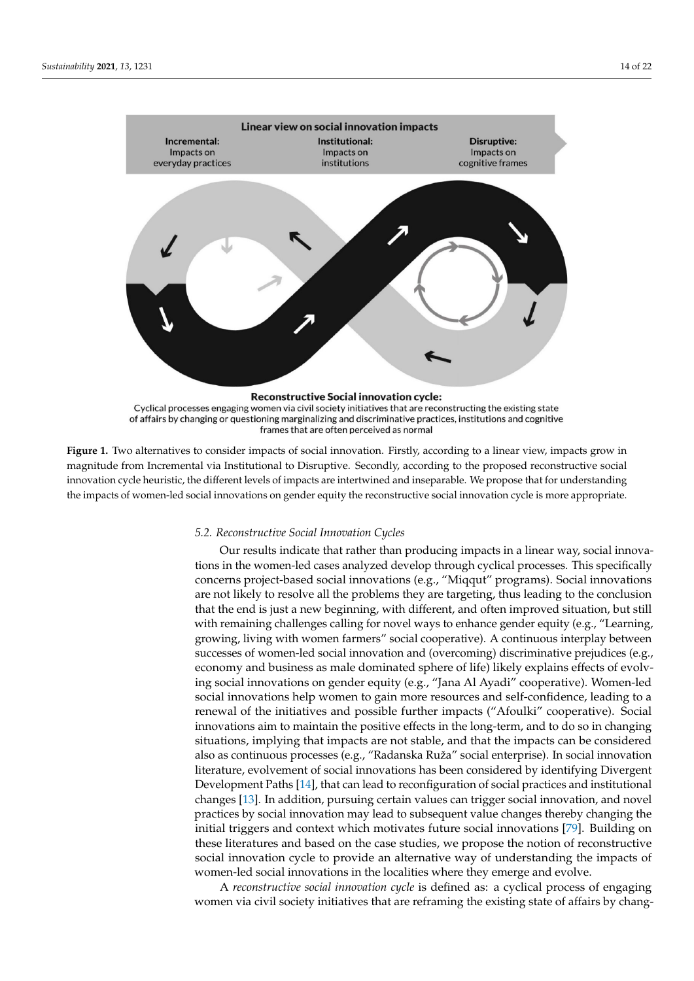<span id="page-13-0"></span>

Figure 1. Two alternatives to consider impacts of social innovation. Firstly, according to a linear view, impacts grow in magnitude from Incremental via Institutional to Disruptive. Secondly, according to the proposed reconstructive social innovation cycle heuristic, the different levels of impacts are intertwined and inseparable. We propose that for understanding  $\epsilon$ impacts are intertwined and inseparable and inseparable. We propose that for understanding the impact of understanding the impact of understanding the impact of understanding the impact of understanding the impact of the impacts of women-led social innovations on gender equity the reconstructive social innovation cycle is more appropriate.<br>.

#### *5.2. Reconstructive Social Innovation Cycles*

*5.2. Reconstructive Social Innovation Cycles*  Our results indicate that rather than producing impacts in a linear way, social innovations in the women-led cases analyzed develop through cyclical processes. This specifically concerns project-based social innovations (e.g., "Miqqut" programs). Social innovations are not likely to resolve all the problems they are targeting, thus leading to the conclusion that the end is just a new beginning, with different, and often improved situation, but still with remaining challenges calling for novel ways to enhance gender equity (e.g., "Learning, growing, living with women farmers" social cooperative). A continuous interplay between successes of women-led social innovation and (overcoming) discriminative prejudices (e.g., economy and business as male dominated sphere of life) likely explains effects of evolving social innovations on gender equity (e.g., "Jana Al Ayadi" cooperative). Women-led social innovations help women to gain more resources and self-confidence, leading to a renewal of the initiatives and possible further impacts ("Afoulki" cooperative). Social innovations aim to maintain the positive effects in the long-term, and to do so in changing situations, implying that impacts are not stable, and that the impacts can be considered also as continuous processes (e.g., "Radanska Ruža" social enterprise). In social innovation literature, evolvement of social innovations has been considered by identifying Divergent Development Paths [\[14\]](#page-19-0), that can lead to reconfiguration of social practices and institutional changes [\[13\]](#page-18-10). In addition, pursuing certain values can trigger social innovation, and novel practices by social innovation may lead to subsequent value changes thereby changing the initial triggers and context which motivates future social innovations [\[79\]](#page-21-15). Building on these literatures and based on the case studies, we propose the notion of reconstructive social innovation cycle to provide an alternative way of understanding the impacts of women-led social innovations in the localities where they emerge and evolve.

A *reconstructive social innovation cycle* is defined as: a cyclical process of engaging women via civil society initiatives that are reframing the existing state of affairs by chang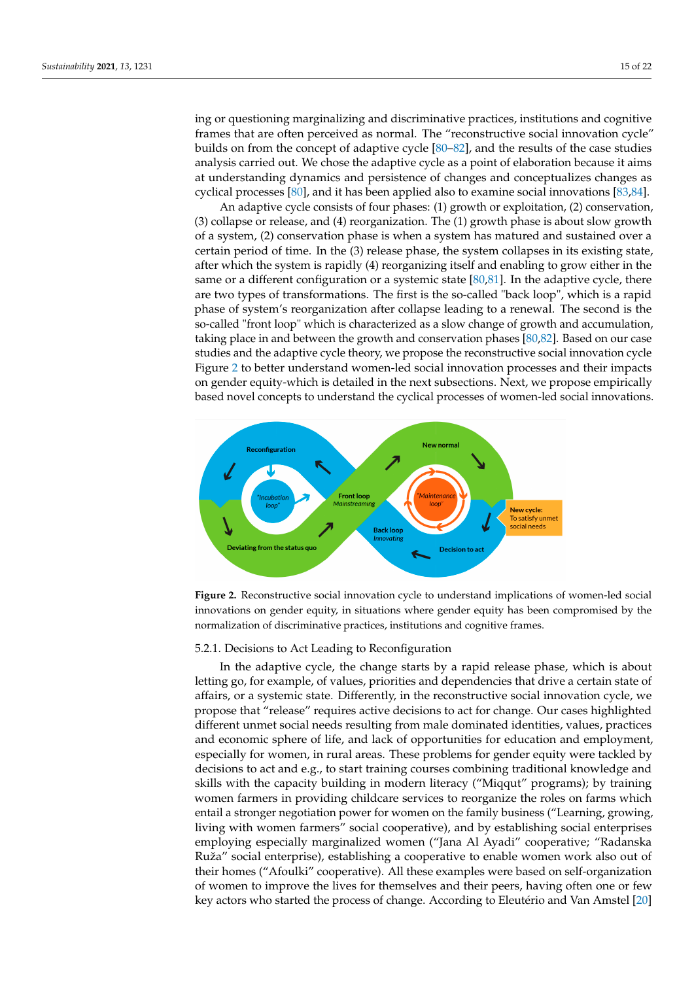ing or questioning marginalizing and discriminative practices, institutions and cognitive frames that are often perceived as normal. The "reconstructive social innovation cycle" builds on from the concept of adaptive cycle [80-[82\]](#page-21-17), and the results of the case studies analysis carried out. We chose the adaptive cycle as a point of elaboration because it aims at understanding dynamics and persistence of changes and conceptualizes changes as cyclical processes [80], and it has been applied also to examine social innovations [83,84].

An adaptive cycle consists of four phases: (1) growth or exploitation, (2) conservation, (3) collapse or release, and (4) reorganization. The (1) growth phase is about slow growth of a system, (2) conservation phase is when a system has matured and sustained over a certain period of time. In the (3) release phase, the system collapses in its existing state, after which the system is rapidly (4) reorganizing itself and enabling to grow either in the same or a different configuration or a systemic state  $[80,81]$ . In the adaptive cycle, there are two types of transformations. The first is the so-called "back loop", which is a rapid phase of system's reorganization after collapse leading to a renewal. The second is the so-called "front loop" which is characterized as a slow change of growth and accumulation, taking place in and between the growth and conservation phases [ $80,82$ ]. Based on our case studies and the adaptive cycle theory, we propose the reconstructive social innovation cycle Figure 2 to better understand women-led social innovation processes and their im[pa](#page-14-0)cts on gender equity-which is detailed in the next subsections. Next, we propose empirically based novel concepts to understand the cyclical processes of women-led social innovations.

<span id="page-14-0"></span>

**Figure 2.** Reconstructive social innovation cycle to understand implications of women-led social **Figure 2.** Reconstructive social innovation cycle to understand implications of women-led social innovations on gender equity, in situations where gender equity has been compromised by the innovations on gender equity, in situations where gender equity has been compromised by the normalization of discriminative practices, institutions and cognitive frames. normalization of discriminative practices, institutions and cognitive frames.

# 5.2.1. Decisions to Act Leading to Reconfiguration 5.2.1. Decisions to Act Leading to Reconfiguration

In the adaptive cycle, the change starts by a rapid release phase, which is about letting in the change starts by a rapid release phase, which is about letting go, for example, of values, priorities and dependencies that drive a certain state of affairs, or a systemic state. Differently, in the reconstructive social innovation cycle, we propose  $\mu$ propose that "release" requires active decisions to act for change. Our cases highlighted<br> unmet social needs resulting from male dominated identities, values, practices and ecoand economic sphere of life, and lack of opportunities for education and employment,<br>especially formation is much and all consultant for each construction and employment, for women, in rural areas. These problems for gender equity were tackled by decisions to decisions to act and e.g., to start training courses combining traditional knowledge and act and e.g., to start training courses combining traditional knowledge and skills with the skills with the capacity building in modern literacy ("Miqqut" programs); by training women farmers in providing childcare services to reorganize the roles on farms which providing childcare services to reorganize the roles on farms which entail a stronger ne-entail a stronger negotiation power for women on the family business ("Learning, growing, gotiation power for women on the family business ("Learning, growing, living with living with women farmers" social cooperative), and by establishing social enterprises employing especially marginalized women ("Jana Al Ayadi" cooperative; "Radanska Ruža" social enterprise), establishing a cooperative to enable women work also out of their homes ("Afoulki" cooperative). All these examples were based on self-organization different unmet social needs resulting from male dominated identities, values, practices especially for women, in rural areas. These problems for gender equity were tackled by of women to improve the lives for themselves and their peers, having often one or few key actors who started the process of change. According to Eleutério and Van Amstel [\[20\]](#page-19-6)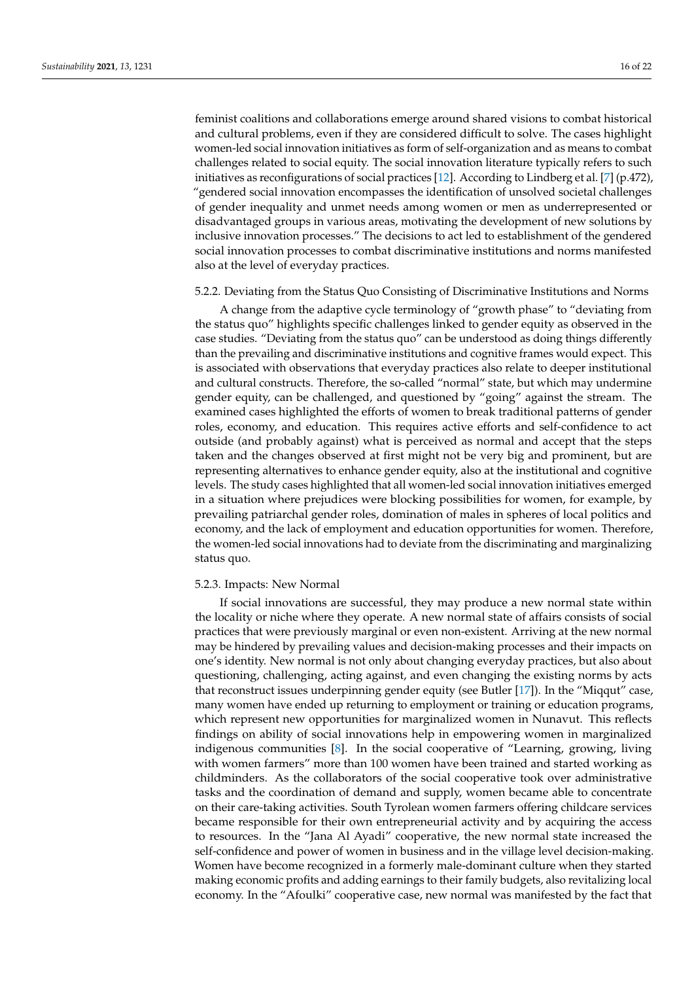feminist coalitions and collaborations emerge around shared visions to combat historical and cultural problems, even if they are considered difficult to solve. The cases highlight women-led social innovation initiatives as form of self-organization and as means to combat challenges related to social equity. The social innovation literature typically refers to such initiatives as reconfigurations of social practices [\[12\]](#page-18-11). According to Lindberg et al. [\[7\]](#page-18-6) (p.472), "gendered social innovation encompasses the identification of unsolved societal challenges of gender inequality and unmet needs among women or men as underrepresented or disadvantaged groups in various areas, motivating the development of new solutions by inclusive innovation processes." The decisions to act led to establishment of the gendered social innovation processes to combat discriminative institutions and norms manifested also at the level of everyday practices.

# 5.2.2. Deviating from the Status Quo Consisting of Discriminative Institutions and Norms

A change from the adaptive cycle terminology of "growth phase" to "deviating from the status quo" highlights specific challenges linked to gender equity as observed in the case studies. "Deviating from the status quo" can be understood as doing things differently than the prevailing and discriminative institutions and cognitive frames would expect. This is associated with observations that everyday practices also relate to deeper institutional and cultural constructs. Therefore, the so-called "normal" state, but which may undermine gender equity, can be challenged, and questioned by "going" against the stream. The examined cases highlighted the efforts of women to break traditional patterns of gender roles, economy, and education. This requires active efforts and self-confidence to act outside (and probably against) what is perceived as normal and accept that the steps taken and the changes observed at first might not be very big and prominent, but are representing alternatives to enhance gender equity, also at the institutional and cognitive levels. The study cases highlighted that all women-led social innovation initiatives emerged in a situation where prejudices were blocking possibilities for women, for example, by prevailing patriarchal gender roles, domination of males in spheres of local politics and economy, and the lack of employment and education opportunities for women. Therefore, the women-led social innovations had to deviate from the discriminating and marginalizing status quo.

#### 5.2.3. Impacts: New Normal

If social innovations are successful, they may produce a new normal state within the locality or niche where they operate. A new normal state of affairs consists of social practices that were previously marginal or even non-existent. Arriving at the new normal may be hindered by prevailing values and decision-making processes and their impacts on one's identity. New normal is not only about changing everyday practices, but also about questioning, challenging, acting against, and even changing the existing norms by acts that reconstruct issues underpinning gender equity (see Butler [\[17\]](#page-19-3)). In the "Miqqut" case, many women have ended up returning to employment or training or education programs, which represent new opportunities for marginalized women in Nunavut. This reflects findings on ability of social innovations help in empowering women in marginalized indigenous communities [\[8\]](#page-18-9). In the social cooperative of "Learning, growing, living with women farmers" more than 100 women have been trained and started working as childminders. As the collaborators of the social cooperative took over administrative tasks and the coordination of demand and supply, women became able to concentrate on their care-taking activities. South Tyrolean women farmers offering childcare services became responsible for their own entrepreneurial activity and by acquiring the access to resources. In the "Jana Al Ayadi" cooperative, the new normal state increased the self-confidence and power of women in business and in the village level decision-making. Women have become recognized in a formerly male-dominant culture when they started making economic profits and adding earnings to their family budgets, also revitalizing local economy. In the "Afoulki" cooperative case, new normal was manifested by the fact that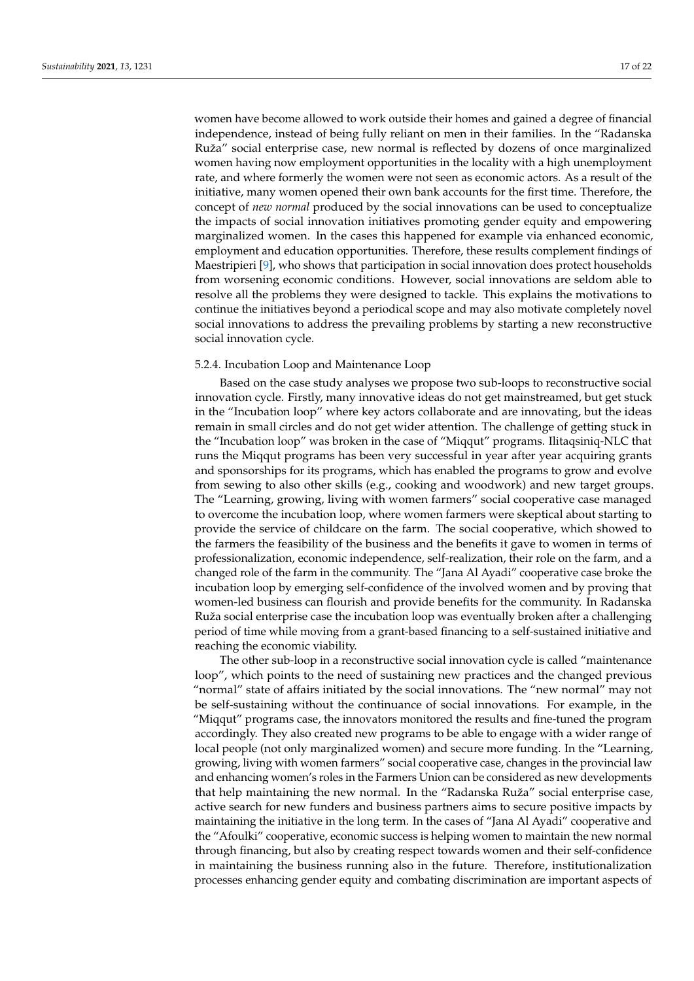women have become allowed to work outside their homes and gained a degree of financial independence, instead of being fully reliant on men in their families. In the "Radanska Ruža" social enterprise case, new normal is reflected by dozens of once marginalized women having now employment opportunities in the locality with a high unemployment rate, and where formerly the women were not seen as economic actors. As a result of the initiative, many women opened their own bank accounts for the first time. Therefore, the concept of *new normal* produced by the social innovations can be used to conceptualize the impacts of social innovation initiatives promoting gender equity and empowering marginalized women. In the cases this happened for example via enhanced economic, employment and education opportunities. Therefore, these results complement findings of Maestripieri [\[9\]](#page-18-12), who shows that participation in social innovation does protect households from worsening economic conditions. However, social innovations are seldom able to resolve all the problems they were designed to tackle. This explains the motivations to continue the initiatives beyond a periodical scope and may also motivate completely novel social innovations to address the prevailing problems by starting a new reconstructive social innovation cycle.

#### 5.2.4. Incubation Loop and Maintenance Loop

Based on the case study analyses we propose two sub-loops to reconstructive social innovation cycle. Firstly, many innovative ideas do not get mainstreamed, but get stuck in the "Incubation loop" where key actors collaborate and are innovating, but the ideas remain in small circles and do not get wider attention. The challenge of getting stuck in the "Incubation loop" was broken in the case of "Miqqut" programs. Ilitaqsiniq-NLC that runs the Miqqut programs has been very successful in year after year acquiring grants and sponsorships for its programs, which has enabled the programs to grow and evolve from sewing to also other skills (e.g., cooking and woodwork) and new target groups. The "Learning, growing, living with women farmers" social cooperative case managed to overcome the incubation loop, where women farmers were skeptical about starting to provide the service of childcare on the farm. The social cooperative, which showed to the farmers the feasibility of the business and the benefits it gave to women in terms of professionalization, economic independence, self-realization, their role on the farm, and a changed role of the farm in the community. The "Jana Al Ayadi" cooperative case broke the incubation loop by emerging self-confidence of the involved women and by proving that women-led business can flourish and provide benefits for the community. In Radanska Ruža social enterprise case the incubation loop was eventually broken after a challenging period of time while moving from a grant-based financing to a self-sustained initiative and reaching the economic viability.

The other sub-loop in a reconstructive social innovation cycle is called "maintenance loop", which points to the need of sustaining new practices and the changed previous "normal" state of affairs initiated by the social innovations. The "new normal" may not be self-sustaining without the continuance of social innovations. For example, in the "Miqqut" programs case, the innovators monitored the results and fine-tuned the program accordingly. They also created new programs to be able to engage with a wider range of local people (not only marginalized women) and secure more funding. In the "Learning, growing, living with women farmers" social cooperative case, changes in the provincial law and enhancing women's roles in the Farmers Union can be considered as new developments that help maintaining the new normal. In the "Radanska Ruža" social enterprise case, active search for new funders and business partners aims to secure positive impacts by maintaining the initiative in the long term. In the cases of "Jana Al Ayadi" cooperative and the "Afoulki" cooperative, economic success is helping women to maintain the new normal through financing, but also by creating respect towards women and their self-confidence in maintaining the business running also in the future. Therefore, institutionalization processes enhancing gender equity and combating discrimination are important aspects of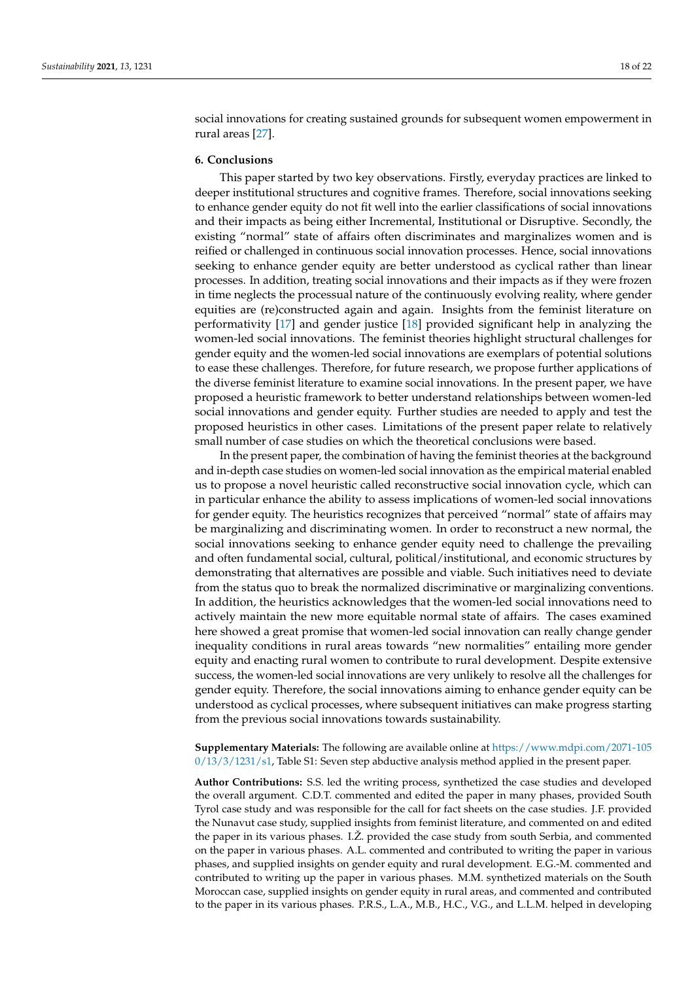social innovations for creating sustained grounds for subsequent women empowerment in rural areas [\[27\]](#page-19-13).

#### <span id="page-17-0"></span>**6. Conclusions**

This paper started by two key observations. Firstly, everyday practices are linked to deeper institutional structures and cognitive frames. Therefore, social innovations seeking to enhance gender equity do not fit well into the earlier classifications of social innovations and their impacts as being either Incremental, Institutional or Disruptive. Secondly, the existing "normal" state of affairs often discriminates and marginalizes women and is reified or challenged in continuous social innovation processes. Hence, social innovations seeking to enhance gender equity are better understood as cyclical rather than linear processes. In addition, treating social innovations and their impacts as if they were frozen in time neglects the processual nature of the continuously evolving reality, where gender equities are (re)constructed again and again. Insights from the feminist literature on performativity [\[17\]](#page-19-3) and gender justice [\[18\]](#page-19-4) provided significant help in analyzing the women-led social innovations. The feminist theories highlight structural challenges for gender equity and the women-led social innovations are exemplars of potential solutions to ease these challenges. Therefore, for future research, we propose further applications of the diverse feminist literature to examine social innovations. In the present paper, we have proposed a heuristic framework to better understand relationships between women-led social innovations and gender equity. Further studies are needed to apply and test the proposed heuristics in other cases. Limitations of the present paper relate to relatively small number of case studies on which the theoretical conclusions were based.

In the present paper, the combination of having the feminist theories at the background and in-depth case studies on women-led social innovation as the empirical material enabled us to propose a novel heuristic called reconstructive social innovation cycle, which can in particular enhance the ability to assess implications of women-led social innovations for gender equity. The heuristics recognizes that perceived "normal" state of affairs may be marginalizing and discriminating women. In order to reconstruct a new normal, the social innovations seeking to enhance gender equity need to challenge the prevailing and often fundamental social, cultural, political/institutional, and economic structures by demonstrating that alternatives are possible and viable. Such initiatives need to deviate from the status quo to break the normalized discriminative or marginalizing conventions. In addition, the heuristics acknowledges that the women-led social innovations need to actively maintain the new more equitable normal state of affairs. The cases examined here showed a great promise that women-led social innovation can really change gender inequality conditions in rural areas towards "new normalities" entailing more gender equity and enacting rural women to contribute to rural development. Despite extensive success, the women-led social innovations are very unlikely to resolve all the challenges for gender equity. Therefore, the social innovations aiming to enhance gender equity can be understood as cyclical processes, where subsequent initiatives can make progress starting from the previous social innovations towards sustainability.

## **Supplementary Materials:** The following are available online at [https://www.mdpi.com/2071-105](https://www.mdpi.com/2071-1050/13/3/1231/s1) [0/13/3/1231/s1,](https://www.mdpi.com/2071-1050/13/3/1231/s1) Table S1: Seven step abductive analysis method applied in the present paper.

**Author Contributions:** S.S. led the writing process, synthetized the case studies and developed the overall argument. C.D.T. commented and edited the paper in many phases, provided South Tyrol case study and was responsible for the call for fact sheets on the case studies. J.F. provided the Nunavut case study, supplied insights from feminist literature, and commented on and edited the paper in its various phases. I.Ž. provided the case study from south Serbia, and commented on the paper in various phases. A.L. commented and contributed to writing the paper in various phases, and supplied insights on gender equity and rural development. E.G.-M. commented and contributed to writing up the paper in various phases. M.M. synthetized materials on the South Moroccan case, supplied insights on gender equity in rural areas, and commented and contributed to the paper in its various phases. P.R.S., L.A., M.B., H.C., V.G., and L.L.M. helped in developing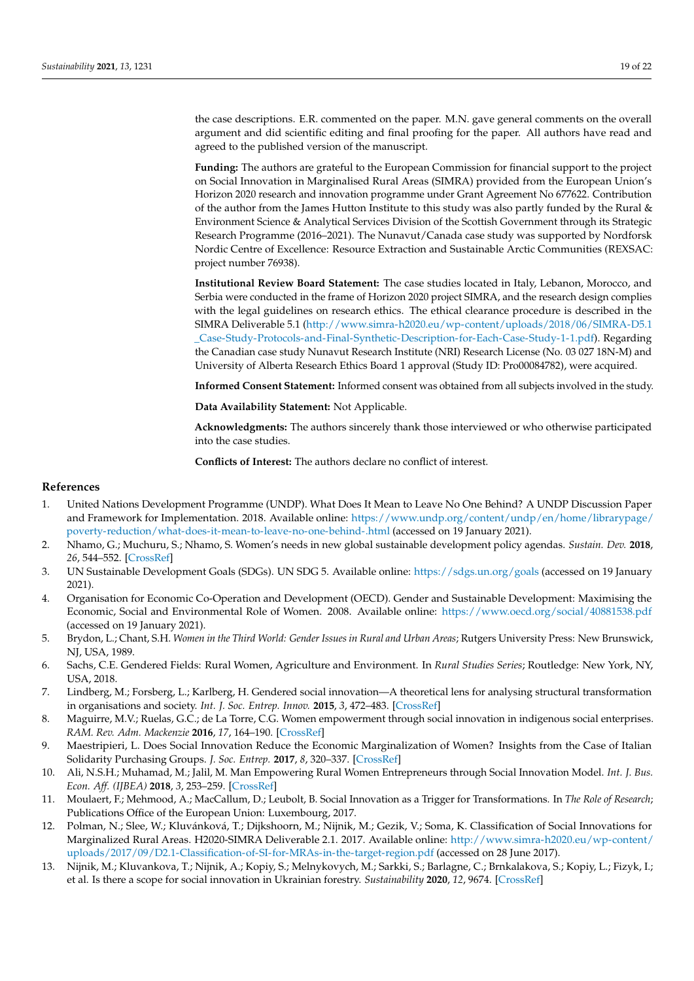the case descriptions. E.R. commented on the paper. M.N. gave general comments on the overall argument and did scientific editing and final proofing for the paper. All authors have read and agreed to the published version of the manuscript.

**Funding:** The authors are grateful to the European Commission for financial support to the project on Social Innovation in Marginalised Rural Areas (SIMRA) provided from the European Union's Horizon 2020 research and innovation programme under Grant Agreement No 677622. Contribution of the author from the James Hutton Institute to this study was also partly funded by the Rural & Environment Science & Analytical Services Division of the Scottish Government through its Strategic Research Programme (2016–2021). The Nunavut/Canada case study was supported by Nordforsk Nordic Centre of Excellence: Resource Extraction and Sustainable Arctic Communities (REXSAC: project number 76938).

**Institutional Review Board Statement:** The case studies located in Italy, Lebanon, Morocco, and Serbia were conducted in the frame of Horizon 2020 project SIMRA, and the research design complies with the legal guidelines on research ethics. The ethical clearance procedure is described in the SIMRA Deliverable 5.1 [\(http://www.simra-h2020.eu/wp-content/uploads/2018/06/SIMRA-D5.1](http://www.simra-h2020.eu/wp-content/uploads/2018/06/SIMRA-D5.1_Case-Study-Protocols-and-Final-Synthetic-Description-for-Each-Case-Study-1-1.pdf) [\\_Case-Study-Protocols-and-Final-Synthetic-Description-for-Each-Case-Study-1-1.pdf\)](http://www.simra-h2020.eu/wp-content/uploads/2018/06/SIMRA-D5.1_Case-Study-Protocols-and-Final-Synthetic-Description-for-Each-Case-Study-1-1.pdf). Regarding the Canadian case study Nunavut Research Institute (NRI) Research License (No. 03 027 18N-M) and University of Alberta Research Ethics Board 1 approval (Study ID: Pro00084782), were acquired.

**Informed Consent Statement:** Informed consent was obtained from all subjects involved in the study.

**Data Availability Statement:** Not Applicable.

**Acknowledgments:** The authors sincerely thank those interviewed or who otherwise participated into the case studies.

**Conflicts of Interest:** The authors declare no conflict of interest.

#### **References**

- <span id="page-18-0"></span>1. United Nations Development Programme (UNDP). What Does It Mean to Leave No One Behind? A UNDP Discussion Paper and Framework for Implementation. 2018. Available online: [https://www.undp.org/content/undp/en/home/librarypage/](https://www.undp.org/content/undp/en/home/librarypage/poverty-reduction/what-does-it-mean-to-leave-no-one-behind-.html) [poverty-reduction/what-does-it-mean-to-leave-no-one-behind-.html](https://www.undp.org/content/undp/en/home/librarypage/poverty-reduction/what-does-it-mean-to-leave-no-one-behind-.html) (accessed on 19 January 2021).
- <span id="page-18-1"></span>2. Nhamo, G.; Muchuru, S.; Nhamo, S. Women's needs in new global sustainable development policy agendas. *Sustain. Dev.* **2018**, *26*, 544–552. [\[CrossRef\]](http://doi.org/10.1002/sd.1717)
- <span id="page-18-2"></span>3. UN Sustainable Development Goals (SDGs). UN SDG 5. Available online: <https://sdgs.un.org/goals> (accessed on 19 January 2021).
- <span id="page-18-3"></span>4. Organisation for Economic Co-Operation and Development (OECD). Gender and Sustainable Development: Maximising the Economic, Social and Environmental Role of Women. 2008. Available online: <https://www.oecd.org/social/40881538.pdf> (accessed on 19 January 2021).
- <span id="page-18-4"></span>5. Brydon, L.; Chant, S.H. *Women in the Third World: Gender Issues in Rural and Urban Areas*; Rutgers University Press: New Brunswick, NJ, USA, 1989.
- <span id="page-18-5"></span>6. Sachs, C.E. Gendered Fields: Rural Women, Agriculture and Environment. In *Rural Studies Series*; Routledge: New York, NY, USA, 2018.
- <span id="page-18-6"></span>7. Lindberg, M.; Forsberg, L.; Karlberg, H. Gendered social innovation—A theoretical lens for analysing structural transformation in organisations and society. *Int. J. Soc. Entrep. Innov.* **2015**, *3*, 472–483. [\[CrossRef\]](http://doi.org/10.1504/IJSEI.2015.073540)
- <span id="page-18-9"></span>8. Maguirre, M.V.; Ruelas, G.C.; de La Torre, C.G. Women empowerment through social innovation in indigenous social enterprises. *RAM. Rev. Adm. Mackenzie* **2016**, *17*, 164–190. [\[CrossRef\]](http://doi.org/10.1590/1678-69712016/administracao.v17n6p164-190)
- <span id="page-18-12"></span>9. Maestripieri, L. Does Social Innovation Reduce the Economic Marginalization of Women? Insights from the Case of Italian Solidarity Purchasing Groups. *J. Soc. Entrep.* **2017**, *8*, 320–337. [\[CrossRef\]](http://doi.org/10.1080/19420676.2017.1364289)
- <span id="page-18-7"></span>10. Ali, N.S.H.; Muhamad, M.; Jalil, M. Man Empowering Rural Women Entrepreneurs through Social Innovation Model. *Int. J. Bus. Econ. Aff. (IJBEA)* **2018**, *3*, 253–259. [\[CrossRef\]](http://doi.org/10.24088/IJBEA-2018-36003)
- <span id="page-18-8"></span>11. Moulaert, F.; Mehmood, A.; MacCallum, D.; Leubolt, B. Social Innovation as a Trigger for Transformations. In *The Role of Research*; Publications Office of the European Union: Luxembourg, 2017.
- <span id="page-18-11"></span>12. Polman, N.; Slee, W.; Kluvánková, T.; Dijkshoorn, M.; Nijnik, M.; Gezik, V.; Soma, K. Classification of Social Innovations for Marginalized Rural Areas. H2020-SIMRA Deliverable 2.1. 2017. Available online: [http://www.simra-h2020.eu/wp-content/](http://www.simra-h2020.eu/wp-content/uploads/2017/09/D2.1-Classification-of-SI-for-MRAs-in-the-target-region.pdf) [uploads/2017/09/D2.1-Classification-of-SI-for-MRAs-in-the-target-region.pdf](http://www.simra-h2020.eu/wp-content/uploads/2017/09/D2.1-Classification-of-SI-for-MRAs-in-the-target-region.pdf) (accessed on 28 June 2017).
- <span id="page-18-10"></span>13. Nijnik, M.; Kluvankova, T.; Nijnik, A.; Kopiy, S.; Melnykovych, M.; Sarkki, S.; Barlagne, C.; Brnkalakova, S.; Kopiy, L.; Fizyk, I.; et al. Is there a scope for social innovation in Ukrainian forestry. *Sustainability* **2020**, *12*, 9674. [\[CrossRef\]](http://doi.org/10.3390/su12229674)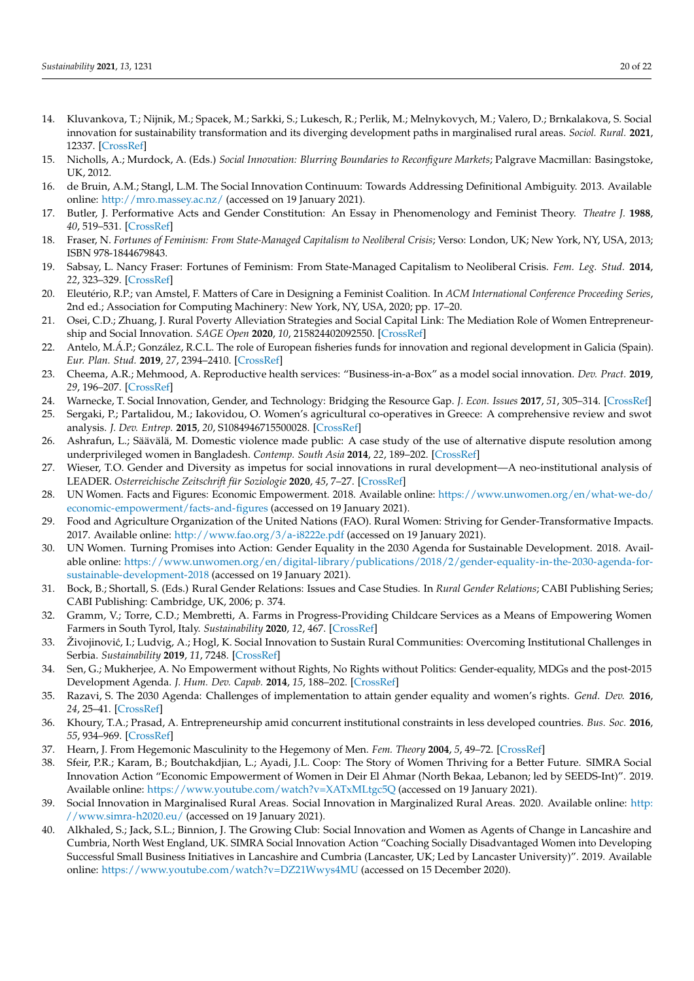- <span id="page-19-0"></span>14. Kluvankova, T.; Nijnik, M.; Spacek, M.; Sarkki, S.; Lukesch, R.; Perlik, M.; Melnykovych, M.; Valero, D.; Brnkalakova, S. Social innovation for sustainability transformation and its diverging development paths in marginalised rural areas. *Sociol. Rural.* **2021**, 12337. [\[CrossRef\]](http://doi.org/10.1111/soru.12337)
- <span id="page-19-1"></span>15. Nicholls, A.; Murdock, A. (Eds.) *Social Innovation: Blurring Boundaries to Reconfigure Markets*; Palgrave Macmillan: Basingstoke, UK, 2012.
- <span id="page-19-2"></span>16. de Bruin, A.M.; Stangl, L.M. The Social Innovation Continuum: Towards Addressing Definitional Ambiguity. 2013. Available online: <http://mro.massey.ac.nz/> (accessed on 19 January 2021).
- <span id="page-19-3"></span>17. Butler, J. Performative Acts and Gender Constitution: An Essay in Phenomenology and Feminist Theory. *Theatre J.* **1988**, *40*, 519–531. [\[CrossRef\]](http://doi.org/10.2307/3207893)
- <span id="page-19-4"></span>18. Fraser, N. *Fortunes of Feminism: From State-Managed Capitalism to Neoliberal Crisis*; Verso: London, UK; New York, NY, USA, 2013; ISBN 978-1844679843.
- <span id="page-19-5"></span>19. Sabsay, L. Nancy Fraser: Fortunes of Feminism: From State-Managed Capitalism to Neoliberal Crisis. *Fem. Leg. Stud.* **2014**, *22*, 323–329. [\[CrossRef\]](http://doi.org/10.1007/s10691-014-9258-0)
- <span id="page-19-6"></span>20. Eleutério, R.P.; van Amstel, F. Matters of Care in Designing a Feminist Coalition. In *ACM International Conference Proceeding Series*, 2nd ed.; Association for Computing Machinery: New York, NY, USA, 2020; pp. 17–20.
- <span id="page-19-25"></span><span id="page-19-7"></span>21. Osei, C.D.; Zhuang, J. Rural Poverty Alleviation Strategies and Social Capital Link: The Mediation Role of Women Entrepreneurship and Social Innovation. *SAGE Open* **2020**, *10*, 215824402092550. [\[CrossRef\]](http://doi.org/10.1177/2158244020925504)
- <span id="page-19-8"></span>22. Antelo, M.Á.P.; González, R.C.L. The role of European fisheries funds for innovation and regional development in Galicia (Spain). *Eur. Plan. Stud.* **2019**, *27*, 2394–2410. [\[CrossRef\]](http://doi.org/10.1080/09654313.2019.1635996)
- <span id="page-19-9"></span>23. Cheema, A.R.; Mehmood, A. Reproductive health services: "Business-in-a-Box" as a model social innovation. *Dev. Pract.* **2019**, *29*, 196–207. [\[CrossRef\]](http://doi.org/10.1080/09614524.2018.1541166)
- <span id="page-19-10"></span>24. Warnecke, T. Social Innovation, Gender, and Technology: Bridging the Resource Gap. *J. Econ. Issues* **2017**, *51*, 305–314. [\[CrossRef\]](http://doi.org/10.1080/00213624.2017.1320508)
- <span id="page-19-11"></span>25. Sergaki, P.; Partalidou, M.; Iakovidou, O. Women's agricultural co-operatives in Greece: A comprehensive review and swot analysis. *J. Dev. Entrep.* **2015**, *20*, S1084946715500028. [\[CrossRef\]](http://doi.org/10.1142/S1084946715500028)
- <span id="page-19-12"></span>26. Ashrafun, L.; Säävälä, M. Domestic violence made public: A case study of the use of alternative dispute resolution among underprivileged women in Bangladesh. *Contemp. South Asia* **2014**, *22*, 189–202. [\[CrossRef\]](http://doi.org/10.1080/09584935.2014.899983)
- <span id="page-19-13"></span>27. Wieser, T.O. Gender and Diversity as impetus for social innovations in rural development—A neo-institutional analysis of LEADER. *Osterreichische Zeitschrift für Soziologie* **2020**, *45*, 7–27. [\[CrossRef\]](http://doi.org/10.1007/s11614-020-00392-2)
- <span id="page-19-14"></span>28. UN Women. Facts and Figures: Economic Empowerment. 2018. Available online: [https://www.unwomen.org/en/what-we-do/](https://www.unwomen.org/en/what-we-do/economic-empowerment/facts-and-figures) [economic-empowerment/facts-and-figures](https://www.unwomen.org/en/what-we-do/economic-empowerment/facts-and-figures) (accessed on 19 January 2021).
- <span id="page-19-15"></span>29. Food and Agriculture Organization of the United Nations (FAO). Rural Women: Striving for Gender-Transformative Impacts. 2017. Available online: <http://www.fao.org/3/a-i8222e.pdf> (accessed on 19 January 2021).
- <span id="page-19-16"></span>30. UN Women. Turning Promises into Action: Gender Equality in the 2030 Agenda for Sustainable Development. 2018. Available online: [https://www.unwomen.org/en/digital-library/publications/2018/2/gender-equality-in-the-2030-agenda-for](https://www.unwomen.org/en/digital-library/publications/2018/2/gender-equality-in-the-2030-agenda-for-sustainable-development-2018)[sustainable-development-2018](https://www.unwomen.org/en/digital-library/publications/2018/2/gender-equality-in-the-2030-agenda-for-sustainable-development-2018) (accessed on 19 January 2021).
- <span id="page-19-17"></span>31. Bock, B.; Shortall, S. (Eds.) Rural Gender Relations: Issues and Case Studies. In *Rural Gender Relations*; CABI Publishing Series; CABI Publishing: Cambridge, UK, 2006; p. 374.
- <span id="page-19-18"></span>32. Gramm, V.; Torre, C.D.; Membretti, A. Farms in Progress-Providing Childcare Services as a Means of Empowering Women Farmers in South Tyrol, Italy. *Sustainability* **2020**, *12*, 467. [\[CrossRef\]](http://doi.org/10.3390/su12020467)
- <span id="page-19-19"></span>33. Živojinović, I.; Ludvig, A.; Hogl, K. Social Innovation to Sustain Rural Communities: Overcoming Institutional Challenges in Serbia. *Sustainability* **2019**, *11*, 7248. [\[CrossRef\]](http://doi.org/10.3390/su11247248)
- <span id="page-19-20"></span>34. Sen, G.; Mukherjee, A. No Empowerment without Rights, No Rights without Politics: Gender-equality, MDGs and the post-2015 Development Agenda. *J. Hum. Dev. Capab.* **2014**, *15*, 188–202. [\[CrossRef\]](http://doi.org/10.1080/19452829.2014.884057)
- 35. Razavi, S. The 2030 Agenda: Challenges of implementation to attain gender equality and women's rights. *Gend. Dev.* **2016**, *24*, 25–41. [\[CrossRef\]](http://doi.org/10.1080/13552074.2016.1142229)
- <span id="page-19-21"></span>36. Khoury, T.A.; Prasad, A. Entrepreneurship amid concurrent institutional constraints in less developed countries. *Bus. Soc.* **2016**, *55*, 934–969. [\[CrossRef\]](http://doi.org/10.1177/0007650314567641)
- <span id="page-19-22"></span>37. Hearn, J. From Hegemonic Masculinity to the Hegemony of Men. *Fem. Theory* **2004**, *5*, 49–72. [\[CrossRef\]](http://doi.org/10.1177/1464700104040813)
- <span id="page-19-23"></span>38. Sfeir, P.R.; Karam, B.; Boutchakdjian, L.; Ayadi, J.L. Coop: The Story of Women Thriving for a Better Future. SIMRA Social Innovation Action "Economic Empowerment of Women in Deir El Ahmar (North Bekaa, Lebanon; led by SEEDS-Int)". 2019. Available online: <https://www.youtube.com/watch?v=XATxMLtgc5Q> (accessed on 19 January 2021).
- 39. Social Innovation in Marginalised Rural Areas. Social Innovation in Marginalized Rural Areas. 2020. Available online: [http:](http://www.simra-h2020.eu/) [//www.simra-h2020.eu/](http://www.simra-h2020.eu/) (accessed on 19 January 2021).
- <span id="page-19-24"></span>40. Alkhaled, S.; Jack, S.L.; Binnion, J. The Growing Club: Social Innovation and Women as Agents of Change in Lancashire and Cumbria, North West England, UK. SIMRA Social Innovation Action "Coaching Socially Disadvantaged Women into Developing Successful Small Business Initiatives in Lancashire and Cumbria (Lancaster, UK; Led by Lancaster University)". 2019. Available online: <https://www.youtube.com/watch?v=DZ21Wwys4MU> (accessed on 15 December 2020).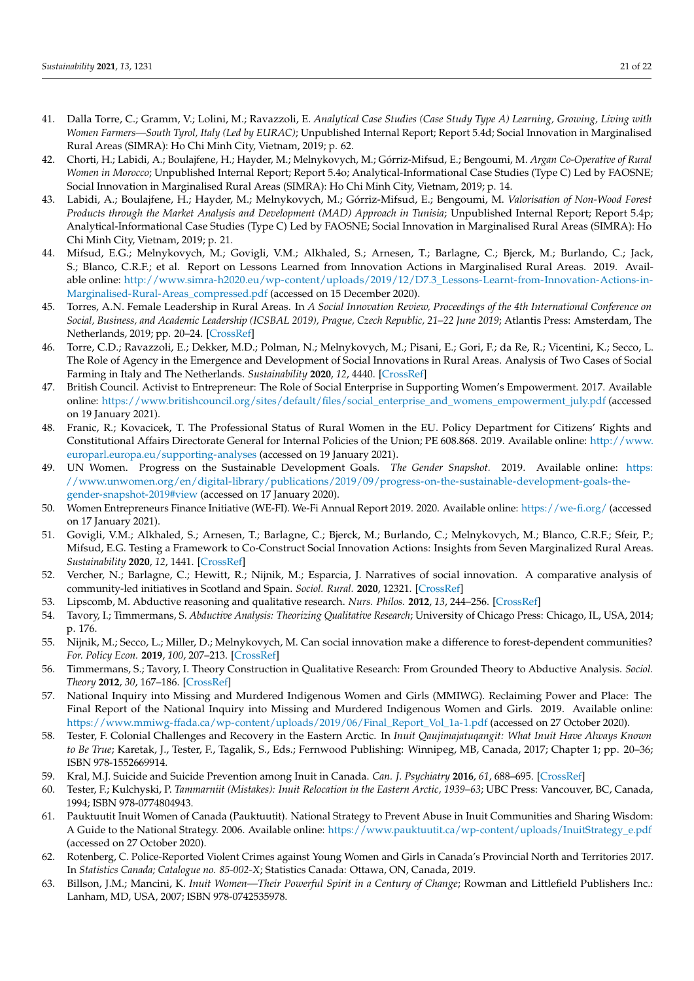- <span id="page-20-8"></span>41. Dalla Torre, C.; Gramm, V.; Lolini, M.; Ravazzoli, E. *Analytical Case Studies (Case Study Type A) Learning, Growing, Living with Women Farmers—South Tyrol, Italy (Led by EURAC)*; Unpublished Internal Report; Report 5.4d; Social Innovation in Marginalised Rural Areas (SIMRA): Ho Chi Minh City, Vietnam, 2019; p. 62.
- <span id="page-20-17"></span>42. Chorti, H.; Labidi, A.; Boulajfene, H.; Hayder, M.; Melnykovych, M.; Górriz-Mifsud, E.; Bengoumi, M. *Argan Co-Operative of Rural Women in Morocco*; Unpublished Internal Report; Report 5.4o; Analytical-Informational Case Studies (Type C) Led by FAOSNE; Social Innovation in Marginalised Rural Areas (SIMRA): Ho Chi Minh City, Vietnam, 2019; p. 14.
- 43. Labidi, A.; Boulajfene, H.; Hayder, M.; Melnykovych, M.; Górriz-Mifsud, E.; Bengoumi, M. *Valorisation of Non-Wood Forest Products through the Market Analysis and Development (MAD) Approach in Tunisia*; Unpublished Internal Report; Report 5.4p; Analytical-Informational Case Studies (Type C) Led by FAOSNE; Social Innovation in Marginalised Rural Areas (SIMRA): Ho Chi Minh City, Vietnam, 2019; p. 21.
- <span id="page-20-9"></span>44. Mifsud, E.G.; Melnykovych, M.; Govigli, V.M.; Alkhaled, S.; Arnesen, T.; Barlagne, C.; Bjerck, M.; Burlando, C.; Jack, S.; Blanco, C.R.F.; et al. Report on Lessons Learned from Innovation Actions in Marginalised Rural Areas. 2019. Available online: [http://www.simra-h2020.eu/wp-content/uploads/2019/12/D7.3\\_Lessons-Learnt-from-Innovation-Actions-in-](http://www.simra-h2020.eu/wp-content/uploads/2019/12/D7.3_Lessons-Learnt-from-Innovation-Actions-in-Marginalised-Rural-Areas_compressed.pdf)[Marginalised-Rural-Areas\\_compressed.pdf](http://www.simra-h2020.eu/wp-content/uploads/2019/12/D7.3_Lessons-Learnt-from-Innovation-Actions-in-Marginalised-Rural-Areas_compressed.pdf) (accessed on 15 December 2020).
- 45. Torres, A.N. Female Leadership in Rural Areas. In *A Social Innovation Review, Proceedings of the 4th International Conference on Social, Business, and Academic Leadership (ICSBAL 2019), Prague, Czech Republic, 21–22 June 2019*; Atlantis Press: Amsterdam, The Netherlands, 2019; pp. 20–24. [\[CrossRef\]](http://doi.org/10.2991/icsbal-19.2019.5)
- 46. Torre, C.D.; Ravazzoli, E.; Dekker, M.D.; Polman, N.; Melnykovych, M.; Pisani, E.; Gori, F.; da Re, R.; Vicentini, K.; Secco, L. The Role of Agency in the Emergence and Development of Social Innovations in Rural Areas. Analysis of Two Cases of Social Farming in Italy and The Netherlands. *Sustainability* **2020**, *12*, 4440. [\[CrossRef\]](http://doi.org/10.3390/su12114440)
- <span id="page-20-0"></span>47. British Council. Activist to Entrepreneur: The Role of Social Enterprise in Supporting Women's Empowerment. 2017. Available online: [https://www.britishcouncil.org/sites/default/files/social\\_enterprise\\_and\\_womens\\_empowerment\\_july.pdf](https://www.britishcouncil.org/sites/default/files/social_enterprise_and_womens_empowerment_july.pdf) (accessed on 19 January 2021).
- <span id="page-20-1"></span>48. Franic, R.; Kovacicek, T. The Professional Status of Rural Women in the EU. Policy Department for Citizens' Rights and Constitutional Affairs Directorate General for Internal Policies of the Union; PE 608.868. 2019. Available online: [http://www.](http://www.europarl.europa.eu/supporting-analyses) [europarl.europa.eu/supporting-analyses](http://www.europarl.europa.eu/supporting-analyses) (accessed on 19 January 2021).
- 49. UN Women. Progress on the Sustainable Development Goals. *The Gender Snapshot.* 2019. Available online: [https:](https://www.unwomen.org/en/digital-library/publications/2019/09/progress-on-the-sustainable-development-goals-the-gender-snapshot-2019#view) [//www.unwomen.org/en/digital-library/publications/2019/09/progress-on-the-sustainable-development-goals-the](https://www.unwomen.org/en/digital-library/publications/2019/09/progress-on-the-sustainable-development-goals-the-gender-snapshot-2019#view)[gender-snapshot-2019#view](https://www.unwomen.org/en/digital-library/publications/2019/09/progress-on-the-sustainable-development-goals-the-gender-snapshot-2019#view) (accessed on 17 January 2020).
- <span id="page-20-2"></span>50. Women Entrepreneurs Finance Initiative (WE-FI). We-Fi Annual Report 2019. 2020. Available online: <https://we-fi.org/> (accessed on 17 January 2021).
- 51. Govigli, V.M.; Alkhaled, S.; Arnesen, T.; Barlagne, C.; Bjerck, M.; Burlando, C.; Melnykovych, M.; Blanco, C.R.F.; Sfeir, P.; Mifsud, E.G. Testing a Framework to Co-Construct Social Innovation Actions: Insights from Seven Marginalized Rural Areas. *Sustainability* **2020**, *12*, 1441. [\[CrossRef\]](http://doi.org/10.3390/su12041441)
- <span id="page-20-3"></span>52. Vercher, N.; Barlagne, C.; Hewitt, R.; Nijnik, M.; Esparcia, J. Narratives of social innovation. A comparative analysis of community-led initiatives in Scotland and Spain. *Sociol. Rural.* **2020**, 12321. [\[CrossRef\]](http://doi.org/10.1111/soru.12321)
- <span id="page-20-4"></span>53. Lipscomb, M. Abductive reasoning and qualitative research. *Nurs. Philos.* **2012**, *13*, 244–256. [\[CrossRef\]](http://doi.org/10.1111/j.1466-769X.2011.00532.x)
- <span id="page-20-5"></span>54. Tavory, I.; Timmermans, S. *Abductive Analysis: Theorizing Qualitative Research*; University of Chicago Press: Chicago, IL, USA, 2014; p. 176.
- <span id="page-20-6"></span>55. Nijnik, M.; Secco, L.; Miller, D.; Melnykovych, M. Can social innovation make a difference to forest-dependent communities? *For. Policy Econ.* **2019**, *100*, 207–213. [\[CrossRef\]](http://doi.org/10.1016/j.forpol.2019.01.001)
- <span id="page-20-7"></span>56. Timmermans, S.; Tavory, I. Theory Construction in Qualitative Research: From Grounded Theory to Abductive Analysis. *Sociol. Theory* **2012**, *30*, 167–186. [\[CrossRef\]](http://doi.org/10.1177/0735275112457914)
- <span id="page-20-10"></span>57. National Inquiry into Missing and Murdered Indigenous Women and Girls (MMIWG). Reclaiming Power and Place: The Final Report of the National Inquiry into Missing and Murdered Indigenous Women and Girls. 2019. Available online: [https://www.mmiwg-ffada.ca/wp-content/uploads/2019/06/Final\\_Report\\_Vol\\_1a-1.pdf](https://www.mmiwg-ffada.ca/wp-content/uploads/2019/06/Final_Report_Vol_1a-1.pdf) (accessed on 27 October 2020).
- <span id="page-20-11"></span>58. Tester, F. Colonial Challenges and Recovery in the Eastern Arctic. In *Inuit Qaujimajatuqangit: What Inuit Have Always Known to Be True*; Karetak, J., Tester, F., Tagalik, S., Eds.; Fernwood Publishing: Winnipeg, MB, Canada, 2017; Chapter 1; pp. 20–36; ISBN 978-1552669914.
- <span id="page-20-12"></span>59. Kral, M.J. Suicide and Suicide Prevention among Inuit in Canada. *Can. J. Psychiatry* **2016**, *61*, 688–695. [\[CrossRef\]](http://doi.org/10.1177/0706743716661329)
- <span id="page-20-13"></span>60. Tester, F.; Kulchyski, P. *Tammarniit (Mistakes): Inuit Relocation in the Eastern Arctic, 1939–63*; UBC Press: Vancouver, BC, Canada, 1994; ISBN 978-0774804943.
- <span id="page-20-14"></span>61. Pauktuutit Inuit Women of Canada (Pauktuutit). National Strategy to Prevent Abuse in Inuit Communities and Sharing Wisdom: A Guide to the National Strategy. 2006. Available online: [https://www.pauktuutit.ca/wp-content/uploads/InuitStrategy\\_e.pdf](https://www.pauktuutit.ca/wp-content/uploads/InuitStrategy_e.pdf) (accessed on 27 October 2020).
- <span id="page-20-15"></span>62. Rotenberg, C. Police-Reported Violent Crimes against Young Women and Girls in Canada's Provincial North and Territories 2017. In *Statistics Canada; Catalogue no. 85-002-X*; Statistics Canada: Ottawa, ON, Canada, 2019.
- <span id="page-20-16"></span>63. Billson, J.M.; Mancini, K. *Inuit Women—Their Powerful Spirit in a Century of Change*; Rowman and Littlefield Publishers Inc.: Lanham, MD, USA, 2007; ISBN 978-0742535978.